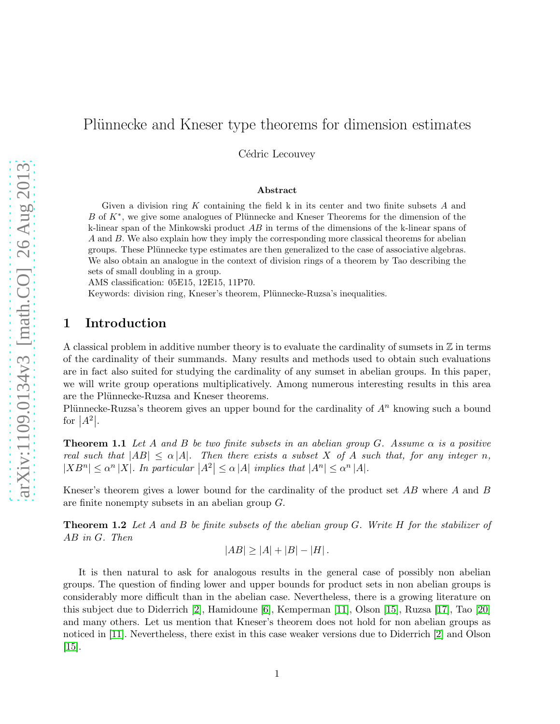# Plünnecke and Kneser type theorems for dimension estimates

Cédric Lecouvey

#### Abstract

Given a division ring  $K$  containing the field k in its center and two finite subsets  $A$  and B of  $K^*$ , we give some analogues of Plünnecke and Kneser Theorems for the dimension of the k-linear span of the Minkowski product AB in terms of the dimensions of the k-linear spans of A and B. We also explain how they imply the corresponding more classical theorems for abelian groups. These Plünnecke type estimates are then generalized to the case of associative algebras. We also obtain an analogue in the context of division rings of a theorem by Tao describing the sets of small doubling in a group.

AMS classification: 05E15, 12E15, 11P70.

Keywords: division ring, Kneser's theorem, Plünnecke-Ruzsa's inequalities.

# 1 Introduction

A classical problem in additive number theory is to evaluate the cardinality of sumsets in  $\mathbb Z$  in terms of the cardinality of their summands. Many results and methods used to obtain such evaluations are in fact also suited for studying the cardinality of any sumset in abelian groups. In this paper, we will write group operations multiplicatively. Among numerous interesting results in this area are the Plünnecke-Ruzsa and Kneser theorems.

<span id="page-0-0"></span>Plünnecke-Ruzsa's theorem gives an upper bound for the cardinality of  $A<sup>n</sup>$  knowing such a bound for  $|A^2|$ .

Theorem 1.1 *Let* A *and* B *be two finite subsets in an abelian group* G*. Assume* α *is a positive real such that*  $|AB| \leq \alpha |A|$ *. Then there exists a subset X of A such that, for any integer n,*  $|XB^n| \leq \alpha^n |X|$ . In particular  $|A^2| \leq \alpha |A|$  implies that  $|A^n| \leq \alpha^n |A|$ .

Kneser's theorem gives a lower bound for the cardinality of the product set AB where A and B are finite nonempty subsets in an abelian group G.

Theorem 1.2 *Let* A *and* B *be finite subsets of the abelian group* G*. Write* H *for the stabilizer of* AB *in* G*. Then*

$$
|AB| \ge |A| + |B| - |H|.
$$

It is then natural to ask for analogous results in the general case of possibly non abelian groups. The question of finding lower and upper bounds for product sets in non abelian groups is considerably more difficult than in the abelian case. Nevertheless, there is a growing literature on this subject due to Diderrich [\[2\]](#page-20-0), Hamidoune [\[6\]](#page-21-0), Kemperman [\[11\]](#page-21-1), Olson [\[15\]](#page-21-2), Ruzsa [\[17\]](#page-21-3), Tao [\[20\]](#page-21-4) and many others. Let us mention that Kneser's theorem does not hold for non abelian groups as noticed in [\[11\]](#page-21-1). Nevertheless, there exist in this case weaker versions due to Diderrich [\[2\]](#page-20-0) and Olson [\[15\]](#page-21-2).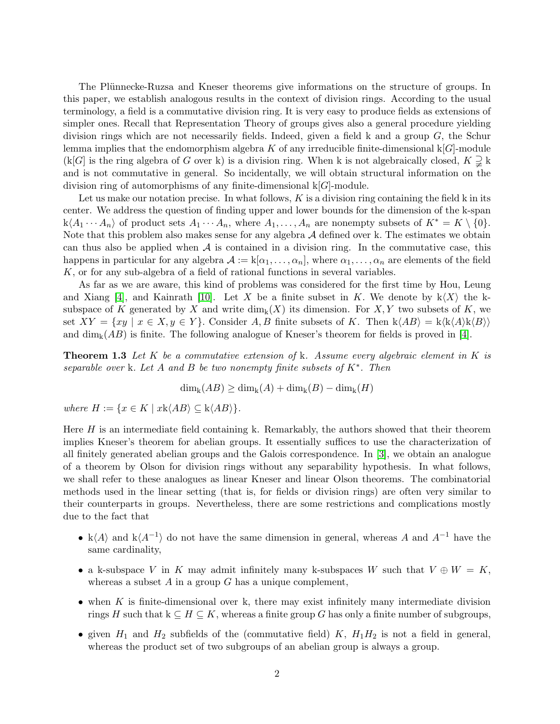The Plünnecke-Ruzsa and Kneser theorems give informations on the structure of groups. In this paper, we establish analogous results in the context of division rings. According to the usual terminology, a field is a commutative division ring. It is very easy to produce fields as extensions of simpler ones. Recall that Representation Theory of groups gives also a general procedure yielding division rings which are not necessarily fields. Indeed, given a field k and a group  $G$ , the Schur lemma implies that the endomorphism algebra K of any irreducible finite-dimensional  $k[G]$ -module  $(k[G]$  is the ring algebra of G over k) is a division ring. When k is not algebraically closed,  $K \supsetneq k$ and is not commutative in general. So incidentally, we will obtain structural information on the division ring of automorphisms of any finite-dimensional  $k[G]$ -module.

Let us make our notation precise. In what follows,  $K$  is a division ring containing the field k in its center. We address the question of finding upper and lower bounds for the dimension of the k-span  $k\langle A_1 \cdots A_n \rangle$  of product sets  $A_1 \cdots A_n$ , where  $A_1, \ldots, A_n$  are nonempty subsets of  $K^* = K \setminus \{0\}$ . Note that this problem also makes sense for any algebra  $A$  defined over k. The estimates we obtain can thus also be applied when  $A$  is contained in a division ring. In the commutative case, this happens in particular for any algebra  $\mathcal{A} := k[\alpha_1, \ldots, \alpha_n]$ , where  $\alpha_1, \ldots, \alpha_n$  are elements of the field K, or for any sub-algebra of a field of rational functions in several variables.

As far as we are aware, this kind of problems was considered for the first time by Hou, Leung and Xiang [\[4\]](#page-20-1), and Kainrath [\[10\]](#page-21-5). Let X be a finite subset in K. We denote by  $k\langle X\rangle$  the ksubspace of K generated by X and write  $\dim_k(X)$  its dimension. For X, Y two subsets of K, we set  $XY = \{xy \mid x \in X, y \in Y\}$ . Consider A, B finite subsets of K. Then  $k\langle AB \rangle = k\langle k\langle A \rangle k\langle B \rangle$ and  $\dim_k(AB)$  is finite. The following analogue of Kneser's theorem for fields is proved in [\[4\]](#page-20-1).

Theorem 1.3 *Let* K *be a commutative extension of* k*. Assume every algebraic element in* K *is separable over* k*. Let* A *and* B *be two nonempty finite subsets of* K<sup>∗</sup> *. Then*

 $\dim_k(AB) > \dim_k(A) + \dim_k(B) - \dim_k(H)$ 

*where*  $H := \{x \in K \mid x \cdot \langle AB \rangle \subseteq \mathbf{k} \langle AB \rangle\}.$ 

Here  $H$  is an intermediate field containing k. Remarkably, the authors showed that their theorem implies Kneser's theorem for abelian groups. It essentially suffices to use the characterization of all finitely generated abelian groups and the Galois correspondence. In [\[3\]](#page-20-2), we obtain an analogue of a theorem by Olson for division rings without any separability hypothesis. In what follows, we shall refer to these analogues as linear Kneser and linear Olson theorems. The combinatorial methods used in the linear setting (that is, for fields or division rings) are often very similar to their counterparts in groups. Nevertheless, there are some restrictions and complications mostly due to the fact that

- k $\langle A \rangle$  and k $\langle A^{-1} \rangle$  do not have the same dimension in general, whereas A and  $A^{-1}$  have the same cardinality,
- a k-subspace V in K may admit infinitely many k-subspaces W such that  $V \oplus W = K$ , whereas a subset  $A$  in a group  $G$  has a unique complement,
- when  $K$  is finite-dimensional over k, there may exist infinitely many intermediate division rings H such that  $k \subseteq H \subseteq K$ , whereas a finite group G has only a finite number of subgroups,
- given  $H_1$  and  $H_2$  subfields of the (commutative field) K,  $H_1H_2$  is not a field in general, whereas the product set of two subgroups of an abelian group is always a group.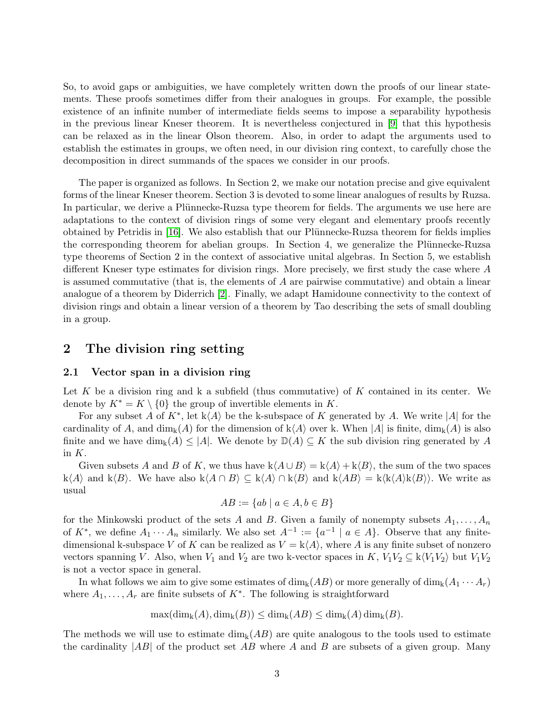So, to avoid gaps or ambiguities, we have completely written down the proofs of our linear statements. These proofs sometimes differ from their analogues in groups. For example, the possible existence of an infinite number of intermediate fields seems to impose a separability hypothesis in the previous linear Kneser theorem. It is nevertheless conjectured in [\[9\]](#page-21-6) that this hypothesis can be relaxed as in the linear Olson theorem. Also, in order to adapt the arguments used to establish the estimates in groups, we often need, in our division ring context, to carefully chose the decomposition in direct summands of the spaces we consider in our proofs.

The paper is organized as follows. In Section 2, we make our notation precise and give equivalent forms of the linear Kneser theorem. Section 3 is devoted to some linear analogues of results by Ruzsa. In particular, we derive a Plünnecke-Ruzsa type theorem for fields. The arguments we use here are adaptations to the context of division rings of some very elegant and elementary proofs recently obtained by Petridis in [\[16\]](#page-21-7). We also establish that our Plünnecke-Ruzsa theorem for fields implies the corresponding theorem for abelian groups. In Section 4, we generalize the Plünnecke-Ruzsa type theorems of Section 2 in the context of associative unital algebras. In Section 5, we establish different Kneser type estimates for division rings. More precisely, we first study the case where A is assumed commutative (that is, the elements of A are pairwise commutative) and obtain a linear analogue of a theorem by Diderrich [\[2\]](#page-20-0). Finally, we adapt Hamidoune connectivity to the context of division rings and obtain a linear version of a theorem by Tao describing the sets of small doubling in a group.

# 2 The division ring setting

## 2.1 Vector span in a division ring

Let K be a division ring and k a subfield (thus commutative) of K contained in its center. We denote by  $K^* = K \setminus \{0\}$  the group of invertible elements in K.

For any subset A of  $K^*$ , let  $k\langle A \rangle$  be the k-subspace of K generated by A. We write |A| for the cardinality of A, and  $\dim_k(A)$  for the dimension of  $k\langle A \rangle$  over k. When  $|A|$  is finite,  $\dim_k(A)$  is also finite and we have  $\dim_k(A) \leq |A|$ . We denote by  $\mathbb{D}(A) \subseteq K$  the sub division ring generated by A in K.

Given subsets A and B of K, we thus have  $k\langle A \cup B \rangle = k\langle A \rangle + k\langle B \rangle$ , the sum of the two spaces k $\langle A \rangle$  and k $\langle B \rangle$ . We have also k $\langle A \cap B \rangle \subseteq k\langle A \rangle \cap k\langle B \rangle$  and  $k\langle AB \rangle = k\langle k\langle A \rangle k\langle B \rangle$ . We write as usual

$$
AB := \{ ab \mid a \in A, b \in B \}
$$

for the Minkowski product of the sets A and B. Given a family of nonempty subsets  $A_1, \ldots, A_n$ of  $K^*$ , we define  $A_1 \cdots A_n$  similarly. We also set  $A^{-1} := \{a^{-1} \mid a \in A\}$ . Observe that any finitedimensional k-subspace V of K can be realized as  $V = k\langle A \rangle$ , where A is any finite subset of nonzero vectors spanning V. Also, when  $V_1$  and  $V_2$  are two k-vector spaces in K,  $V_1V_2 \subseteq k\langle V_1V_2 \rangle$  but  $V_1V_2$ is not a vector space in general.

In what follows we aim to give some estimates of  $\dim_k(AB)$  or more generally of  $\dim_k(A_1 \cdots A_r)$ where  $A_1, \ldots, A_r$  are finite subsets of  $K^*$ . The following is straightforward

$$
\max(\dim_{k}(A),\dim_{k}(B)) \leq \dim_{k}(AB) \leq \dim_{k}(A)\dim_{k}(B).
$$

The methods we will use to estimate  $\dim_k(AB)$  are quite analogous to the tools used to estimate the cardinality  $|AB|$  of the product set AB where A and B are subsets of a given group. Many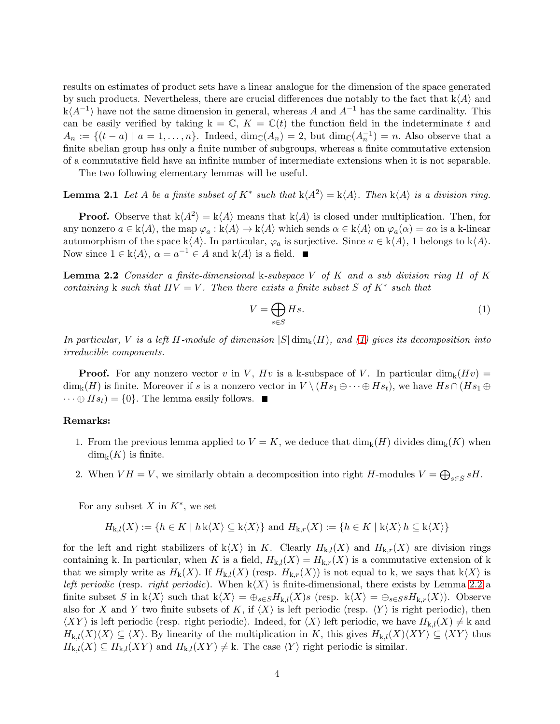results on estimates of product sets have a linear analogue for the dimension of the space generated by such products. Nevertheless, there are crucial differences due notably to the fact that  $k\langle A \rangle$  and  $k\langle A^{-1} \rangle$  have not the same dimension in general, whereas A and  $A^{-1}$  has the same cardinality. This can be easily verified by taking  $k = \mathbb{C}$ ,  $K = \mathbb{C}(t)$  the function field in the indeterminate t and  $A_n := \{(t - a) \mid a = 1, \ldots, n\}.$  Indeed,  $\dim_{\mathbb{C}}(A_n) = 2$ , but  $\dim_{\mathbb{C}}(A_n^{-1}) = n$ . Also observe that a finite abelian group has only a finite number of subgroups, whereas a finite commutative extension of a commutative field have an infinite number of intermediate extensions when it is not separable.

<span id="page-3-2"></span>The two following elementary lemmas will be useful.

# **Lemma 2.1** Let A be a finite subset of  $K^*$  such that  $k\langle A^2 \rangle = k\langle A \rangle$ . Then  $k\langle A \rangle$  is a division ring.

**Proof.** Observe that  $k\langle A^2 \rangle = k\langle A \rangle$  means that  $k\langle A \rangle$  is closed under multiplication. Then, for any nonzero  $a \in k\langle A \rangle$ , the map  $\varphi_a : k\langle A \rangle \to k\langle A \rangle$  which sends  $\alpha \in k\langle A \rangle$  on  $\varphi_a(\alpha) = a\alpha$  is a k-linear automorphism of the space k $\langle A \rangle$ . In particular,  $\varphi_a$  is surjective. Since  $a \in k\langle A \rangle$ , 1 belongs to  $k\langle A \rangle$ . Now since  $1 \in k\langle A \rangle$ ,  $\alpha = a^{-1} \in A$  and  $k\langle A \rangle$  is a field.

<span id="page-3-1"></span>Lemma 2.2 *Consider a finite-dimensional* k*-subspace* V *of* K *and a sub division ring* H *of* K *containing* k *such that*  $HV = V$ *. Then there exists a finite subset* S of  $K^*$  *such that* 

<span id="page-3-0"></span>
$$
V = \bigoplus_{s \in S} Hs. \tag{1}
$$

*In particular,* V *is a left* H*-module of dimension* |S| dimk(H)*, and [\(1\)](#page-3-0) gives its decomposition into irreducible components.*

**Proof.** For any nonzero vector v in V,  $Hv$  is a k-subspace of V. In particular dim<sub>k</sub> $(Hv)$  =  $\dim_k(H)$  is finite. Moreover if s is a nonzero vector in  $V \setminus (Hs_1 \oplus \cdots \oplus Hs_t)$ , we have  $Hs \cap (Hs_1 \oplus \cdots \oplus Hs_t)$  $\cdots \oplus Hs_t$  = {0}. The lemma easily follows.  $\blacksquare$ 

#### Remarks:

- 1. From the previous lemma applied to  $V = K$ , we deduce that  $\dim_k(H)$  divides  $\dim_k(K)$  when  $\dim_{\mathbf{k}}(K)$  is finite.
- 2. When  $VH = V$ , we similarly obtain a decomposition into right H-modules  $V = \bigoplus_{s \in S} sH$ .

For any subset  $X$  in  $K^*$ , we set

$$
H_{k,l}(X) := \{ h \in K \mid h \mathbf{k}\langle X \rangle \subseteq \mathbf{k}\langle X \rangle \} \text{ and } H_{k,r}(X) := \{ h \in K \mid \mathbf{k}\langle X \rangle \} \subseteq \mathbf{k}\langle X \rangle \}
$$

for the left and right stabilizers of  $k\langle X\rangle$  in K. Clearly  $H_{k,l}(X)$  and  $H_{k,r}(X)$  are division rings containing k. In particular, when K is a field,  $H_{k,l}(X) = H_{k,r}(X)$  is a commutative extension of k that we simply write as  $H_k(X)$ . If  $H_{k,l}(X)$  (resp.  $H_{k,r}(X)$ ) is not equal to k, we says that  $k\langle X\rangle$  is *left periodic* (resp. *right periodic*). When  $k\langle X \rangle$  is finite-dimensional, there exists by Lemma [2.2](#page-3-1) a finite subset S in k $\langle X \rangle$  such that  $k\langle X \rangle = \bigoplus_{s \in S} H_{k,l}(X)s$  (resp.  $k\langle X \rangle = \bigoplus_{s \in S} sH_{k,r}(X)$ ). Observe also for X and Y two finite subsets of K, if  $\langle X \rangle$  is left periodic (resp.  $\langle Y \rangle$  is right periodic), then  $\langle XY \rangle$  is left periodic (resp. right periodic). Indeed, for  $\langle X \rangle$  left periodic, we have  $H_{k,l}(X) \neq k$  and  $H_{k,l}(X)\langle X\rangle \subseteq \langle X\rangle$ . By linearity of the multiplication in K, this gives  $H_{k,l}(X)\langle XY\rangle \subseteq \langle XY\rangle$  thus  $H_{k,l}(X) \subseteq H_{k,l}(XY)$  and  $H_{k,l}(XY) \neq k$ . The case  $\langle Y \rangle$  right periodic is similar.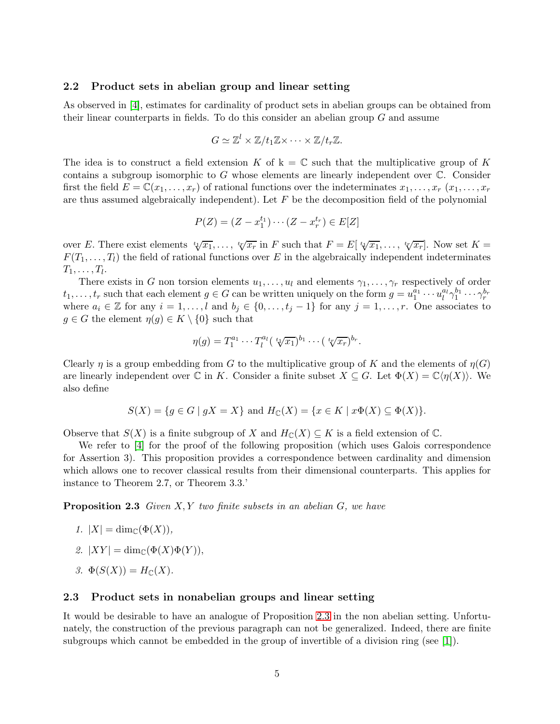#### 2.2 Product sets in abelian group and linear setting

As observed in [\[4\]](#page-20-1), estimates for cardinality of product sets in abelian groups can be obtained from their linear counterparts in fields. To do this consider an abelian group  $G$  and assume

$$
G \simeq \mathbb{Z}^l \times \mathbb{Z}/t_1\mathbb{Z} \times \cdots \times \mathbb{Z}/t_r\mathbb{Z}.
$$

The idea is to construct a field extension K of  $k = \mathbb{C}$  such that the multiplicative group of K contains a subgroup isomorphic to  $G$  whose elements are linearly independent over  $\mathbb{C}$ . Consider first the field  $E = \mathbb{C}(x_1, \ldots, x_r)$  of rational functions over the indeterminates  $x_1, \ldots, x_r$   $(x_1, \ldots, x_r)$ are thus assumed algebraically independent). Let  $F$  be the decomposition field of the polynomial

$$
P(Z) = (Z - x_1^{t_1}) \cdots (Z - x_r^{t_r}) \in E[Z]
$$

over E. There exist elements  ${}^t \psi \overline{x_1}, \ldots, {}^t \psi \overline{x_r}$  in F such that  $F = E[{}^t \psi \overline{x_1}, \ldots, {}^t \psi \overline{x_r}].$  Now set  $K =$  $F(T_1, \ldots, T_l)$  the field of rational functions over E in the algebraically independent indeterminates  $T_1,\ldots,T_l$ .

There exists in G non torsion elements  $u_1, \ldots, u_l$  and elements  $\gamma_1, \ldots, \gamma_r$  respectively of order  $t_1, \ldots, t_r$  such that each element  $g \in G$  can be written uniquely on the form  $g = u_1^{a_1} \cdots u_l^{a_l}$  $\frac{a_l}{l}\gamma_1^{b_1}\cdots\gamma_r^{b_r}$ where  $a_i \in \mathbb{Z}$  for any  $i = 1, \ldots, l$  and  $b_j \in \{0, \ldots, t_j - 1\}$  for any  $j = 1, \ldots, r$ . One associates to  $g \in G$  the element  $\eta(g) \in K \setminus \{0\}$  such that

$$
\eta(g) = T_1^{a_1} \cdots T_l^{a_l} \left( \sqrt[t]{x_1} \right)^{b_1} \cdots \left( \sqrt[t]{x_r} \right)^{b_r}.
$$

Clearly  $\eta$  is a group embedding from G to the multiplicative group of K and the elements of  $\eta(G)$ are linearly independent over  $\mathbb C$  in K. Consider a finite subset  $X \subseteq G$ . Let  $\Phi(X) = \mathbb C\langle \eta(X) \rangle$ . We also define

$$
S(X) = \{ g \in G \mid gX = X \} \text{ and } H_{\mathbb{C}}(X) = \{ x \in K \mid x\Phi(X) \subseteq \Phi(X) \}.
$$

Observe that  $S(X)$  is a finite subgroup of X and  $H_{\mathbb{C}}(X) \subseteq K$  is a field extension of  $\mathbb{C}$ .

We refer to [\[4\]](#page-20-1) for the proof of the following proposition (which uses Galois correspondence for Assertion 3). This proposition provides a correspondence between cardinality and dimension which allows one to recover classical results from their dimensional counterparts. This applies for instance to Theorem 2.7, or Theorem 3.3.'

<span id="page-4-0"></span>Proposition 2.3 *Given* X, Y *two finite subsets in an abelian* G*, we have*

- *1.*  $|X| = \dim_{\mathbb{C}}(\Phi(X)),$
- 2.  $|XY| = \dim_{\mathbb{C}}(\Phi(X)\Phi(Y)),$
- *3.*  $\Phi(S(X)) = H_{\mathbb{C}}(X)$ .

### <span id="page-4-1"></span>2.3 Product sets in nonabelian groups and linear setting

It would be desirable to have an analogue of Proposition [2.3](#page-4-0) in the non abelian setting. Unfortunately, the construction of the previous paragraph can not be generalized. Indeed, there are finite subgroups which cannot be embedded in the group of invertible of a division ring (see [\[1\]](#page-20-3)).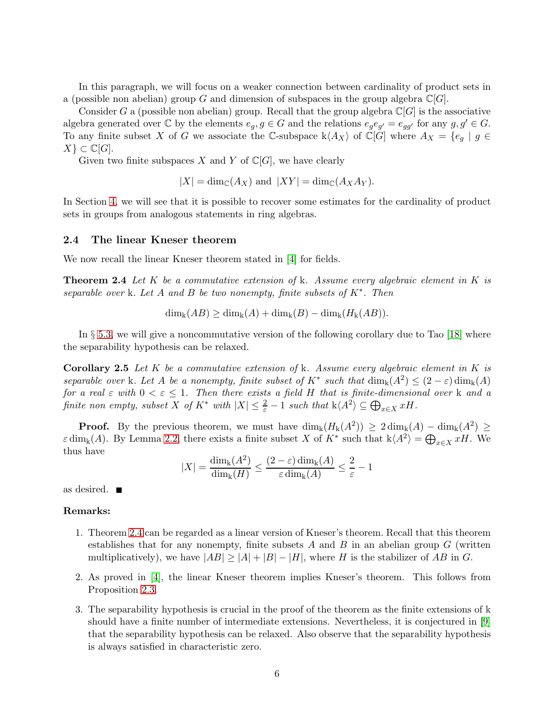In this paragraph, we will focus on a weaker connection between cardinality of product sets in a (possible non abelian) group G and dimension of subspaces in the group algebra  $\mathbb{C}[G]$ .

Consider G a (possible non abelian) group. Recall that the group algebra  $\mathbb{C}[G]$  is the associative algebra generated over  $\mathbb C$  by the elements  $e_g, g \in G$  and the relations  $e_g e_{g'} = e_{gg'}$  for any  $g, g' \in G$ . To any finite subset X of G we associate the C-subspace  $k\langle A_X \rangle$  of  $\mathbb{C}[G]$  where  $A_X = \{e_g \mid g \in G\}$  $X$ }  $\subset \mathbb{C}[G]$ .

Given two finite subspaces X and Y of  $\mathbb{C}[G]$ , we have clearly

 $|X| = \dim_{\mathbb{C}}(A_X)$  and  $|XY| = \dim_{\mathbb{C}}(A_X A_Y)$ .

In Section [4,](#page-12-0) we will see that it is possible to recover some estimates for the cardinality of product sets in groups from analogous statements in ring algebras.

#### 2.4 The linear Kneser theorem

<span id="page-5-0"></span>We now recall the linear Kneser theorem stated in [\[4\]](#page-20-1) for fields.

Theorem 2.4 *Let* K *be a commutative extension of* k*. Assume every algebraic element in* K *is separable over* k*. Let* A *and* B *be two nonempty, finite subsets of* K<sup>∗</sup> *. Then*

$$
\dim_{k}(AB) \geq \dim_{k}(A) + \dim_{k}(B) - \dim_{k}(H_{k}(AB)).
$$

In § [5.3,](#page-19-0) we will give a noncommutative version of the following corollary due to Tao [\[18\]](#page-21-8) where the separability hypothesis can be relaxed.

Corollary 2.5 *Let* K *be a commutative extension of* k*. Assume every algebraic element in* K *is separable over* k*. Let* A *be a nonempty, finite subset of*  $K^*$  *such that*  $\dim_k(A^2) \leq (2 - \varepsilon) \dim_k(A)$ *for a real*  $\varepsilon$  *with*  $0 < \varepsilon \leq 1$ *. Then there exists a field* H *that is finite-dimensional over* k *and a finite non empty, subset*  $X$  *of*  $K^*$  *with*  $|X| \leq \frac{2}{\varepsilon} - 1$  *such that*  $k \langle A^2 \rangle \subseteq \bigoplus_{x \in X} xH$ .

**Proof.** By the previous theorem, we must have  $\dim_k(H_k(A^2)) \geq 2 \dim_k(A) - \dim_k(A^2) \geq$  $\varepsilon \dim_{\mathbf{k}}(A)$ . By Lemma [2.2,](#page-3-1) there exists a finite subset X of  $K^*$  such that  $\mathbf{k}\langle A^2 \rangle = \bigoplus_{x \in X} xH$ . We thus have

$$
|X| = \frac{\dim_{\mathbf{k}}(A^2)}{\dim_{\mathbf{k}}(H)} \le \frac{(2-\varepsilon)\dim_{\mathbf{k}}(A)}{\varepsilon \dim_{\mathbf{k}}(A)} \le \frac{2}{\varepsilon} - 1
$$

as desired.

#### Remarks:

- 1. Theorem [2.4](#page-5-0) can be regarded as a linear version of Kneser's theorem. Recall that this theorem establishes that for any nonempty, finite subsets A and B in an abelian group  $G$  (written multiplicatively), we have  $|AB| \geq |A| + |B| - |H|$ , where H is the stabilizer of AB in G.
- 2. As proved in [\[4\]](#page-20-1), the linear Kneser theorem implies Kneser's theorem. This follows from Proposition [2.3.](#page-4-0)
- 3. The separability hypothesis is crucial in the proof of the theorem as the finite extensions of k should have a finite number of intermediate extensions. Nevertheless, it is conjectured in [\[9\]](#page-21-6) that the separability hypothesis can be relaxed. Also observe that the separability hypothesis is always satisfied in characteristic zero.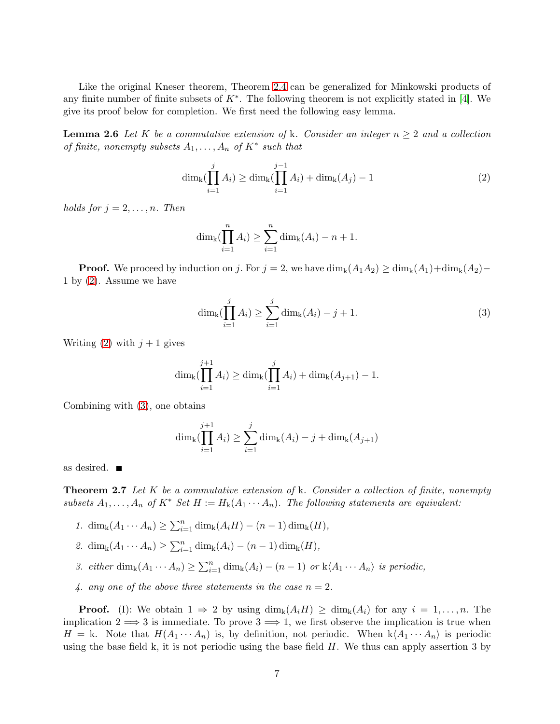<span id="page-6-2"></span>Like the original Kneser theorem, Theorem [2.4](#page-5-0) can be generalized for Minkowski products of any finite number of finite subsets of  $K^*$ . The following theorem is not explicitly stated in [\[4\]](#page-20-1). We give its proof below for completion. We first need the following easy lemma.

**Lemma 2.6** Let K be a commutative extension of k. Consider an integer  $n \geq 2$  and a collection *of finite, nonempty subsets* A1, . . . , A<sup>n</sup> *of* K<sup>∗</sup> *such that*

<span id="page-6-0"></span>
$$
\dim_{k}(\prod_{i=1}^{j} A_{i}) \ge \dim_{k}(\prod_{i=1}^{j-1} A_{i}) + \dim_{k}(A_{j}) - 1
$$
\n(2)

*holds for*  $j = 2, \ldots, n$ *. Then* 

$$
\dim_{k}(\prod_{i=1}^{n} A_{i}) \geq \sum_{i=1}^{n} \dim_{k}(A_{i}) - n + 1.
$$

**Proof.** We proceed by induction on j. For  $j = 2$ , we have  $\dim_k(A_1A_2) \geq \dim_k(A_1) + \dim_k(A_2) -$ 1 by [\(2\)](#page-6-0). Assume we have

<span id="page-6-1"></span>
$$
\dim_{k}(\prod_{i=1}^{j} A_{i}) \geq \sum_{i=1}^{j} \dim_{k}(A_{i}) - j + 1.
$$
\n(3)

Writing [\(2\)](#page-6-0) with  $j+1$  gives

$$
\dim_{k}(\prod_{i=1}^{j+1} A_{i}) \geq \dim_{k}(\prod_{i=1}^{j} A_{i}) + \dim_{k}(A_{j+1}) - 1.
$$

Combining with [\(3\)](#page-6-1), one obtains

$$
\dim_{k}(\prod_{i=1}^{j+1} A_{i}) \geq \sum_{i=1}^{j} \dim_{k}(A_{i}) - j + \dim_{k}(A_{j+1})
$$

<span id="page-6-3"></span>as desired.

Theorem 2.7 *Let* K *be a commutative extension of* k*. Consider a collection of finite, nonempty subsets*  $A_1, \ldots, A_n$  *of*  $K^*$  *Set*  $H := H_k(A_1 \cdots A_n)$ *. The following statements are equivalent:* 

- *1.* dim<sub>k</sub>( $A_1 \cdots A_n$ ) ≥  $\sum_{i=1}^n \dim_k(A_i H) (n-1) \dim_k(H)$ ,
- 2. dim<sub>k</sub> $(A_1 \cdots A_n) \ge \sum_{i=1}^n \dim_k(A_i) (n-1) \dim_k(H)$ ,
- 3. either  $\dim_k(A_1 \cdots A_n) \geq \sum_{i=1}^n \dim_k(A_i) (n-1)$  or  $k\langle A_1 \cdots A_n \rangle$  is periodic,
- *4. any one of the above three statements in the case*  $n = 2$ .

**Proof.** (I): We obtain  $1 \Rightarrow 2$  by using  $\dim_k(A_iH) \geq \dim_k(A_i)$  for any  $i = 1, \ldots, n$ . The implication  $2 \implies 3$  is immediate. To prove  $3 \implies 1$ , we first observe the implication is true when  $H = k$ . Note that  $H(A_1 \cdots A_n)$  is, by definition, not periodic. When  $k \langle A_1 \cdots A_n \rangle$  is periodic using the base field k, it is not periodic using the base field  $H$ . We thus can apply assertion 3 by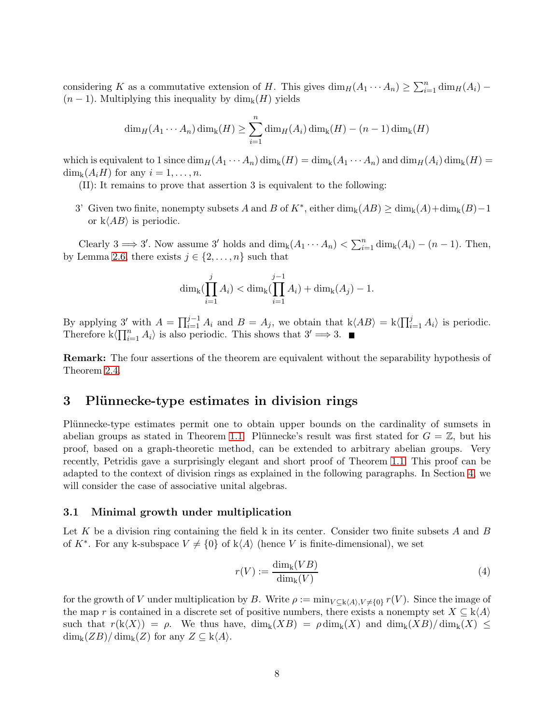considering K as a commutative extension of H. This gives  $\dim_H(A_1 \cdots A_n) \geq \sum_{i=1}^n \dim_H(A_i)$  –  $(n-1)$ . Multiplying this inequality by  $\dim_k(H)$  yields

$$
\dim_H(A_1\cdots A_n)\dim_k(H) \geq \sum_{i=1}^n \dim_H(A_i)\dim_k(H) - (n-1)\dim_k(H)
$$

which is equivalent to 1 since  $\dim_H(A_1 \cdots A_n)$   $\dim_k(H) = \dim_k(A_1 \cdots A_n)$  and  $\dim_H(A_i)$   $\dim_k(H) =$  $\dim_{\mathbf{k}}(A_iH)$  for any  $i=1,\ldots,n$ .

- (II): It remains to prove that assertion 3 is equivalent to the following:
- 3' Given two finite, nonempty subsets A and B of  $K^*$ , either  $\dim_k(AB) \geq \dim_k(A) + \dim_k(B) 1$ or  $k\langle AB \rangle$  is periodic.

Clearly 3  $\implies$  3'. Now assume 3' holds and dim<sub>k</sub> $(A_1 \cdots A_n) < \sum_{i=1}^n \dim_k(A_i) - (n-1)$ . Then, by Lemma [2.6,](#page-6-2) there exists  $j \in \{2, \ldots, n\}$  such that

$$
\dim_{k}(\prod_{i=1}^{j} A_{i}) < \dim_{k}(\prod_{i=1}^{j-1} A_{i}) + \dim_{k}(A_{j}) - 1.
$$

By applying  $3'$  with  $A = \prod_{i=1}^{j-1} A_i$  and  $B = A_j$ , we obtain that  $k\langle AB \rangle = k\langle \prod_{i=1}^{j} A_i \rangle$  is periodic. Therefore  $k\langle \prod_{i=1}^n A_i \rangle$  is also periodic. This shows that  $3' \Longrightarrow 3$ .

**Remark:** The four assertions of the theorem are equivalent without the separability hypothesis of Theorem [2.4.](#page-5-0)

# <span id="page-7-1"></span>3 Plünnecke-type estimates in division rings

Plünnecke-type estimates permit one to obtain upper bounds on the cardinality of sumsets in abelian groups as stated in Theorem [1.1.](#page-0-0) Plünnecke's result was first stated for  $G = \mathbb{Z}$ , but his proof, based on a graph-theoretic method, can be extended to arbitrary abelian groups. Very recently, Petridis gave a surprisingly elegant and short proof of Theorem [1.1.](#page-0-0) This proof can be adapted to the context of division rings as explained in the following paragraphs. In Section [4,](#page-12-0) we will consider the case of associative unital algebras.

## 3.1 Minimal growth under multiplication

Let K be a division ring containing the field k in its center. Consider two finite subsets A and B of  $K^*$ . For any k-subspace  $V \neq \{0\}$  of  $k\langle A \rangle$  (hence V is finite-dimensional), we set

$$
r(V) := \frac{\dim_{\mathbf{k}}(VB)}{\dim_{\mathbf{k}}(V)}\tag{4}
$$

<span id="page-7-0"></span>for the growth of V under multiplication by B. Write  $\rho := \min_{V \subset k(A), V \neq \{0\}} r(V)$ . Since the image of the map r is contained in a discrete set of positive numbers, there exists a nonempty set  $X \subseteq k\langle A \rangle$ such that  $r(k\langle X\rangle) = \rho$ . We thus have,  $\dim_k(XB) = \rho \dim_k(X)$  and  $\dim_k(XB)/\dim_k(X) \leq$  $\dim_{k}(ZB)/\dim_{k}(Z)$  for any  $Z \subseteq k\langle A \rangle$ .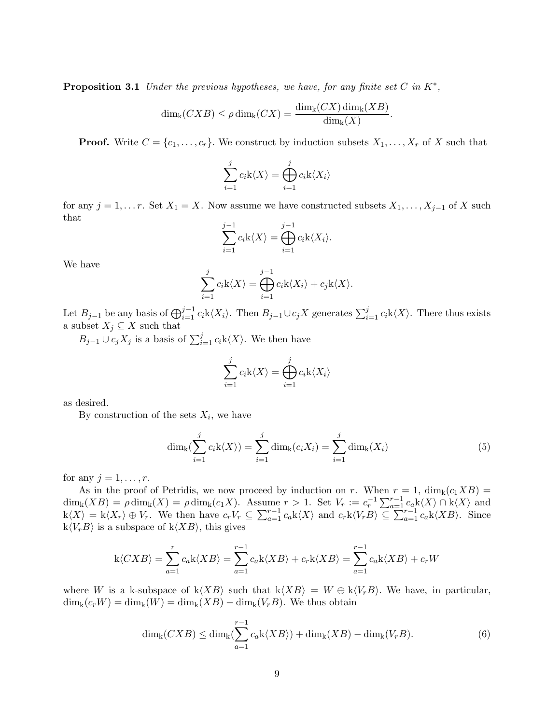Proposition 3.1 *Under the previous hypotheses, we have, for any finite set* C *in* K<sup>∗</sup> *,*

$$
\dim_{k}(CXB) \leq \rho \dim_{k}(CX) = \frac{\dim_{k}(CX) \dim_{k}(XB)}{\dim_{k}(X)}.
$$

**Proof.** Write  $C = \{c_1, \ldots, c_r\}$ . We construct by induction subsets  $X_1, \ldots, X_r$  of X such that

$$
\sum_{i=1}^{j} c_i \mathbf{k} \langle X \rangle = \bigoplus_{i=1}^{j} c_i \mathbf{k} \langle X_i \rangle
$$

for any  $j = 1, \ldots r$ . Set  $X_1 = X$ . Now assume we have constructed subsets  $X_1, \ldots, X_{j-1}$  of X such that

$$
\sum_{i=1}^{j-1} c_i \mathbf{k} \langle X \rangle = \bigoplus_{i=1}^{j-1} c_i \mathbf{k} \langle X_i \rangle.
$$

We have

$$
\sum_{i=1}^{j} c_i \mathbf{k} \langle X \rangle = \bigoplus_{i=1}^{j-1} c_i \mathbf{k} \langle X_i \rangle + c_j \mathbf{k} \langle X \rangle.
$$

Let  $B_{j-1}$  be any basis of  $\bigoplus_{i=1}^{j-1} c_i k \langle X_i \rangle$ . Then  $B_{j-1} \cup c_j X$  generates  $\sum_{i=1}^{j} c_i k \langle X \rangle$ . There thus exists a subset  $X_j \subseteq X$  such that

 $B_{j-1} \cup c_j X_j$  is a basis of  $\sum_{i=1}^j c_i \mathbf{k} \langle X \rangle$ . We then have

$$
\sum_{i=1}^{j} c_i \mathbf{k} \langle X \rangle = \bigoplus_{i=1}^{j} c_i \mathbf{k} \langle X_i \rangle
$$

as desired.

By construction of the sets  $X_i$ , we have

<span id="page-8-0"></span>
$$
\dim_{k}(\sum_{i=1}^{j} c_{i}k\langle X\rangle) = \sum_{i=1}^{j} \dim_{k}(c_{i}X_{i}) = \sum_{i=1}^{j} \dim_{k}(X_{i})
$$
\n(5)

for any  $j = 1, \ldots, r$ .

As in the proof of Petridis, we now proceed by induction on r. When  $r = 1$ ,  $\dim_k(c_1XB) =$  $\dim_k(XB) = \rho \dim_k(X) = \rho \dim_k(c_1X)$ . Assume  $r > 1$ . Set  $V_r := c_r^{-1} \sum_{a=1}^{r-1} c_a k\langle X \rangle \cap k\langle X \rangle$  and  $k\langle X\rangle = k\langle X_r\rangle \oplus V_r$ . We then have  $c_rV_r \subseteq \sum_{a=1}^{r-1} c_a k\langle X\rangle$  and  $c_r k\langle V_r B\rangle \subseteq \sum_{a=1}^{r-1} c_a k\langle XB\rangle$ . Since  $k\langle V_rB\rangle$  is a subspace of  $k\langle XB\rangle$ , this gives

$$
k\langle CXB\rangle = \sum_{a=1}^{r} c_a k\langle XB\rangle = \sum_{a=1}^{r-1} c_a k\langle XB\rangle + c_r k\langle XB\rangle = \sum_{a=1}^{r-1} c_a k\langle XB\rangle + c_r W
$$

where W is a k-subspace of  $k(XB)$  such that  $k(XB) = W \oplus k\langle V_rB\rangle$ . We have, in particular,  $\dim_k(c_rW) = \dim_k(W) = \dim_k(XB) - \dim_k(V_rB)$ . We thus obtain

<span id="page-8-1"></span>
$$
\dim_{k}(CXB) \le \dim_{k}(\sum_{a=1}^{r-1} c_{a}k\langle XB \rangle) + \dim_{k}(XB) - \dim_{k}(V_{r}B). \tag{6}
$$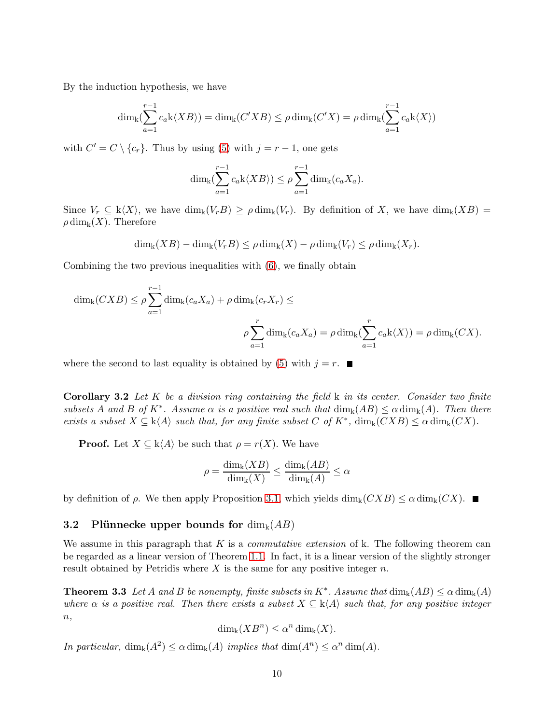By the induction hypothesis, we have

$$
\dim_{k}(\sum_{a=1}^{r-1} c_{a}k\langle XB\rangle) = \dim_{k}(C'XB) \leq \rho \dim_{k}(C'X) = \rho \dim_{k}(\sum_{a=1}^{r-1} c_{a}k\langle X\rangle)
$$

with  $C' = C \setminus \{c_r\}$ . Thus by using [\(5\)](#page-8-0) with  $j = r - 1$ , one gets

$$
\dim_{k}(\sum_{a=1}^{r-1} c_{a}k\langle XB\rangle) \leq \rho \sum_{a=1}^{r-1} \dim_{k}(c_{a}X_{a}).
$$

Since  $V_r \subseteq k\langle X\rangle$ , we have  $\dim_k(V_rB) \ge \rho \dim_k(V_r)$ . By definition of X, we have  $\dim_k(XB) =$  $\rho \dim_{\mathbf{k}}(X)$ . Therefore

$$
\dim_{\mathbf{k}}(XB) - \dim_{\mathbf{k}}(V_rB) \leq \rho \dim_{\mathbf{k}}(X) - \rho \dim_{\mathbf{k}}(V_r) \leq \rho \dim_{\mathbf{k}}(X_r).
$$

Combining the two previous inequalities with [\(6\)](#page-8-1), we finally obtain

$$
\dim_{\mathbf{k}}(CXB) \leq \rho \sum_{a=1}^{r-1} \dim_{\mathbf{k}}(c_a X_a) + \rho \dim_{\mathbf{k}}(c_r X_r) \leq
$$

$$
\rho \sum_{a=1}^r \dim_{\mathbf{k}}(c_a X_a) = \rho \dim_{\mathbf{k}}(\sum_{a=1}^r c_a \mathbf{k} \langle X \rangle) = \rho \dim_{\mathbf{k}}(CX).
$$

<span id="page-9-1"></span>where the second to last equality is obtained by [\(5\)](#page-8-0) with  $j = r$ .

Corollary 3.2 *Let* K *be a division ring containing the field* k *in its center. Consider two finite subsets* A and B of  $K^*$ . Assume  $\alpha$  *is a positive real such that*  $\dim_k(AB) \leq \alpha \dim_k(A)$ *. Then there exists a subset*  $X \subseteq k\langle A \rangle$  *such that, for any finite subset*  $C$  *of*  $K^*$ ,  $\dim_k(CXB) \leq \alpha \dim_k(CX)$ *.* 

**Proof.** Let  $X \subseteq k\langle A \rangle$  be such that  $\rho = r(X)$ . We have

$$
\rho = \frac{\dim_{k}(XB)}{\dim_{k}(X)} \le \frac{\dim_{k}(AB)}{\dim_{k}(A)} \le \alpha
$$

by definition of  $\rho$ . We then apply Proposition [3.1,](#page-7-0) which yields  $\dim_k(CXB) \leq \alpha \dim_k(CX)$ .

## 3.2 Plünnecke upper bounds for  $\dim_k(AB)$

We assume in this paragraph that K is a *commutative extension* of k. The following theorem can be regarded as a linear version of Theorem [1.1.](#page-0-0) In fact, it is a linear version of the slightly stronger result obtained by Petridis where  $X$  is the same for any positive integer  $n$ .

<span id="page-9-0"></span>**Theorem 3.3** Let A and B be nonempty, finite subsets in  $K^*$ . Assume that  $\dim_k(AB) \leq \alpha \dim_k(A)$ *where*  $\alpha$  *is a positive real. Then there exists a subset*  $X \subseteq k \langle A \rangle$  *such that, for any positive integer* n*,*

$$
\dim_{k}(XB^{n}) \leq \alpha^{n} \dim_{k}(X).
$$

*In particular,*  $\dim_k(A^2) \le \alpha \dim_k(A)$  *implies that*  $\dim(A^n) \le \alpha^n \dim(A)$ *.*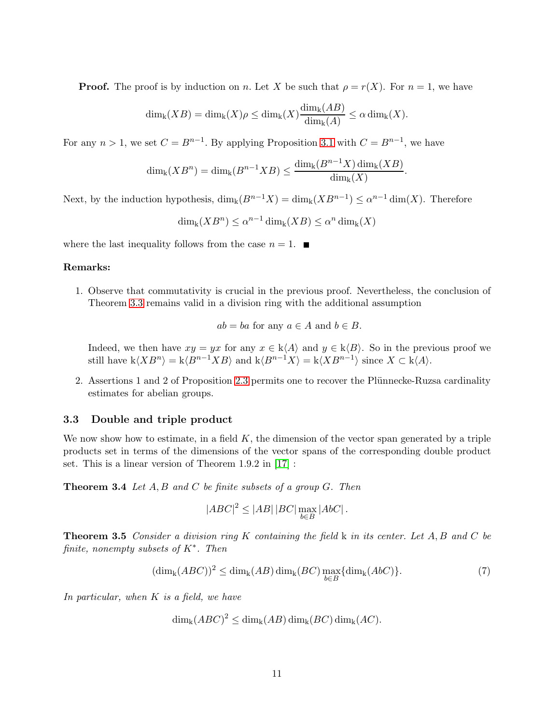**Proof.** The proof is by induction on n. Let X be such that  $\rho = r(X)$ . For  $n = 1$ , we have

$$
\dim_{\mathsf{k}}(XB) = \dim_{\mathsf{k}}(X)\rho \le \dim_{\mathsf{k}}(X)\frac{\dim_{\mathsf{k}}(AB)}{\dim_{\mathsf{k}}(A)} \le \alpha \dim_{\mathsf{k}}(X).
$$

For any  $n > 1$ , we set  $C = B^{n-1}$ . By applying Proposition [3.1](#page-7-0) with  $C = B^{n-1}$ , we have

$$
\dim_{k}(XB^{n}) = \dim_{k}(B^{n-1}XB) \leq \frac{\dim_{k}(B^{n-1}X)\dim_{k}(XB)}{\dim_{k}(X)}.
$$

Next, by the induction hypothesis,  $\dim_k(B^{n-1}X) = \dim_k(XB^{n-1}) \leq \alpha^{n-1}\dim(X)$ . Therefore

 $\dim_{\mathbf{k}} (XB^n) \leq \alpha^{n-1} \dim_{\mathbf{k}} (XB) \leq \alpha^n \dim_{\mathbf{k}} (X)$ 

where the last inequality follows from the case  $n = 1$ .

#### Remarks:

1. Observe that commutativity is crucial in the previous proof. Nevertheless, the conclusion of Theorem [3.3](#page-9-0) remains valid in a division ring with the additional assumption

$$
ab = ba
$$
 for any  $a \in A$  and  $b \in B$ .

Indeed, we then have  $xy = yx$  for any  $x \in k\langle A \rangle$  and  $y \in k\langle B \rangle$ . So in the previous proof we still have  $k\langle XB^n\rangle = k\langle B^{n-1}XB\rangle$  and  $k\langle B^{n-1}X\rangle = k\langle XB^{n-1}\rangle$  since  $X \subset k\langle A \rangle$ .

2. Assertions 1 and 2 of Proposition [2.3](#page-4-0) permits one to recover the Plünnecke-Ruzsa cardinality estimates for abelian groups.

## 3.3 Double and triple product

We now show how to estimate, in a field  $K$ , the dimension of the vector span generated by a triple products set in terms of the dimensions of the vector spans of the corresponding double product set. This is a linear version of Theorem 1.9.2 in [\[17\]](#page-21-3) :

Theorem 3.4 *Let* A, B *and* C *be finite subsets of a group* G*. Then*

$$
|ABC|^2 \le |AB| |BC| \max_{b \in B} |AbC|.
$$

<span id="page-10-1"></span>Theorem 3.5 *Consider a division ring* K *containing the field* k *in its center. Let* A, B *and* C *be finite, nonempty subsets of* K<sup>∗</sup> *. Then*

<span id="page-10-0"></span>
$$
(\dim_{k}(ABC))^{2} \leq \dim_{k}(AB)\dim_{k}(BC)\max_{b\in B}\{\dim_{k}(AbC)\}.
$$
\n(7)

*In particular, when* K *is a field, we have*

$$
\dim_{k}(ABC)^{2} \leq \dim_{k}(AB) \dim_{k}(BC) \dim_{k}(AC).
$$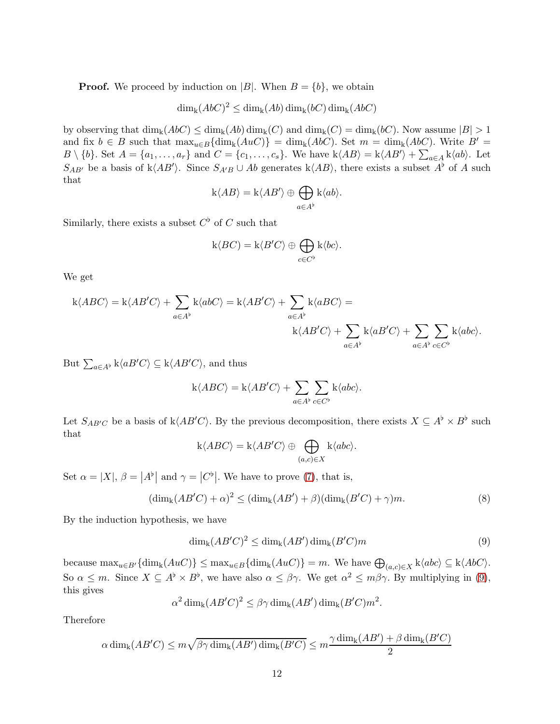**Proof.** We proceed by induction on |B|. When  $B = \{b\}$ , we obtain

 $\dim_{\mathbf{k}}(AbC)^2 \leq \dim_{\mathbf{k}}(Ab) \dim_{\mathbf{k}}(bC) \dim_{\mathbf{k}}(AbC)$ 

by observing that  $\dim_k(AbC) \leq \dim_k(Ab) \dim_k(C)$  and  $\dim_k(C) = \dim_k(bC)$ . Now assume  $|B| > 1$ and fix  $b \in B$  such that  $\max_{u \in B} {\dim_k(AuC)} = \dim_k(AbC)$ . Set  $m = \dim_k(AbC)$ . Write  $B' =$  $B \setminus \{b\}$ . Set  $A = \{a_1, \ldots, a_r\}$  and  $C = \{c_1, \ldots, c_s\}$ . We have  $k\langle AB \rangle = k\langle AB' \rangle + \sum_{a \in A} k\langle ab \rangle$ . Let  $S_{AB'}$  be a basis of k $\langle AB' \rangle$ . Since  $S_{A'B} \cup Ab$  generates k $\langle AB \rangle$ , there exists a subset  $A^{\flat}$  of A such that

$$
k\langle AB\rangle = k\langle AB'\rangle \oplus \bigoplus_{a\in A^{\flat}} k\langle ab\rangle.
$$

Similarly, there exists a subset  $C^{\flat}$  of C such that

$$
k\langle BC\rangle = k\langle B'C\rangle \oplus \bigoplus_{c\in C^b} k\langle bc\rangle.
$$

We get

$$
\begin{split} \mathbf{k} \langle ABC \rangle = \mathbf{k} \langle AB'C \rangle + \sum_{a \in A^\flat} \mathbf{k} \langle abC \rangle = \mathbf{k} \langle AB'C \rangle + \sum_{a \in A^\flat} \mathbf{k} \langle aBC \rangle = \\ \mathbf{k} \langle AB'C \rangle + \sum_{a \in A^\flat} \mathbf{k} \langle aB'C \rangle + \sum_{a \in A^\flat} \sum_{c \in C^\flat} \mathbf{k} \langle abc \rangle. \end{split}
$$

But  $\sum_{a \in A^{\flat}} k\langle aB'C \rangle \subseteq k\langle AB'C \rangle$ , and thus

$$
k\langle ABC \rangle = k\langle AB'C \rangle + \sum_{a \in A^{\flat}} \sum_{c \in C^{\flat}} k\langle abc \rangle.
$$

Let  $S_{ABC}$  be a basis of k $\langle AB'C \rangle$ . By the previous decomposition, there exists  $X \subseteq A^{\flat} \times B^{\flat}$  such that

$$
k\langle ABC \rangle = k\langle AB'C \rangle \oplus \bigoplus_{(a,c)\in X} k\langle abc \rangle.
$$

Set  $\alpha = |X|$ ,  $\beta = |A^{\flat}|$  and  $\gamma = |C^{\flat}|$ . We have to prove [\(7\)](#page-10-0), that is,

$$
(\dim_{k}(AB'C) + \alpha)^{2} \leq (\dim_{k}(AB') + \beta)(\dim_{k}(B'C) + \gamma)m. \tag{8}
$$

By the induction hypothesis, we have

<span id="page-11-0"></span>
$$
\dim_{k}(AB'C)^{2} \leq \dim_{k}(AB')\dim_{k}(B'C)m
$$
\n(9)

because  $\max_{u \in B'} {\dim_k(AuC)} \leq \max_{u \in B} {\dim_k(AuC)} = m$ . We have  $\bigoplus_{(a,c) \in X} k\langle abc \rangle \subseteq k\langle AbC \rangle$ . So  $\alpha \leq m$ . Since  $X \subseteq A^{\flat} \times B^{\flat}$ , we have also  $\alpha \leq \beta \gamma$ . We get  $\alpha^2 \leq m\beta\gamma$ . By multiplying in [\(9\)](#page-11-0), this gives

$$
\alpha^2 \dim_{\mathbf{k}} (AB'C)^2 \leq \beta \gamma \dim_{\mathbf{k}} (AB') \dim_{\mathbf{k}} (B'C)m^2.
$$

Therefore

$$
\alpha \dim_{k}(AB'C) \leq m\sqrt{\beta\gamma \dim_{k}(AB') \dim_{k}(B'C)} \leq m\frac{\gamma \dim_{k}(AB') + \beta \dim_{k}(B'C)}{2}
$$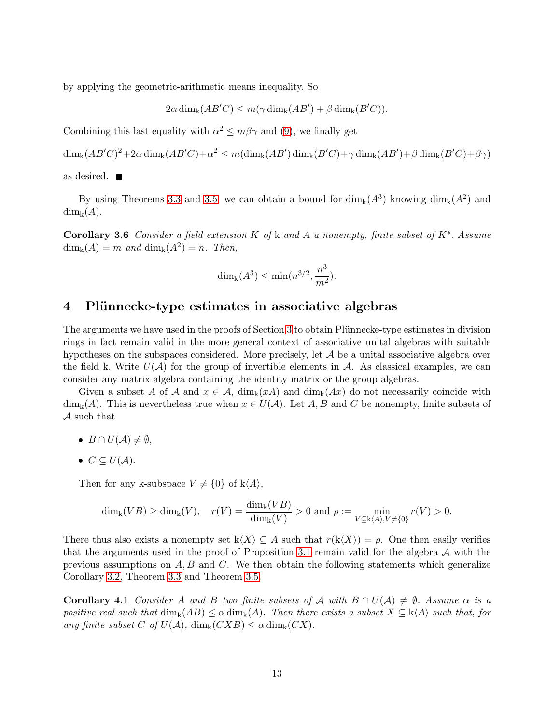by applying the geometric-arithmetic means inequality. So

$$
2\alpha \dim_{k}(AB'C) \leq m(\gamma \dim_{k}(AB') + \beta \dim_{k}(B'C)).
$$

Combining this last equality with  $\alpha^2 \leq m\beta\gamma$  and [\(9\)](#page-11-0), we finally get

 $\dim_{\mathbf{k}}(AB'C)^2 + 2\alpha \dim_{\mathbf{k}}(AB'C) + \alpha^2 \leq m(\dim_{\mathbf{k}}(AB')\dim_{\mathbf{k}}(B'C) + \gamma \dim_{\mathbf{k}}(AB') + \beta \dim_{\mathbf{k}}(B'C) + \beta \gamma)$ 

as desired.

By using Theorems [3.3](#page-9-0) and [3.5,](#page-10-1) we can obtain a bound for  $\dim_k(A^3)$  knowing  $\dim_k(A^2)$  and  $\dim_{\mathbf{k}}(A)$ .

Corollary 3.6 *Consider a field extension* K *of* k *and* A *a nonempty, finite subset of* K<sup>∗</sup> *. Assume*  $dim_{\mathbf{k}}(A) = m$  and  $dim_{\mathbf{k}}(A^2) = n$ . Then,

$$
\dim_{k}(A^{3}) \leq \min(n^{3/2}, \frac{n^{3}}{m^{2}}).
$$

# <span id="page-12-0"></span>4 Plünnecke-type estimates in associative algebras

The arguments we have used in the proofs of Section [3](#page-7-1) to obtain Plünnecke-type estimates in division rings in fact remain valid in the more general context of associative unital algebras with suitable hypotheses on the subspaces considered. More precisely, let  $A$  be a unital associative algebra over the field k. Write  $U(\mathcal{A})$  for the group of invertible elements in  $\mathcal{A}$ . As classical examples, we can consider any matrix algebra containing the identity matrix or the group algebras.

Given a subset A of A and  $x \in A$ ,  $\dim_k(xA)$  and  $\dim_k(Ax)$  do not necessarily coincide with  $\dim_k(A)$ . This is nevertheless true when  $x \in U(\mathcal{A})$ . Let A, B and C be nonempty, finite subsets of A such that

- $B \cap U(A) \neq \emptyset$ ,
- $C \subseteq U(\mathcal{A}).$

Then for any k-subspace  $V \neq \{0\}$  of  $k\langle A \rangle$ ,

$$
\dim_{\mathbf{k}}(VB) \ge \dim_{\mathbf{k}}(V), \quad r(V) = \frac{\dim_{\mathbf{k}}(VB)}{\dim_{\mathbf{k}}(V)} > 0 \text{ and } \rho := \min_{V \subseteq \mathbf{k}\langle A \rangle, V \ne \{0\}} r(V) > 0.
$$

There thus also exists a nonempty set  $k\langle X\rangle \subseteq A$  such that  $r(k\langle X\rangle) = \rho$ . One then easily verifies that the arguments used in the proof of Proposition [3.1](#page-7-0) remain valid for the algebra  $A$  with the previous assumptions on  $A, B$  and  $C$ . We then obtain the following statements which generalize Corollary [3.2,](#page-9-1) Theorem [3.3](#page-9-0) and Theorem [3.5.](#page-10-1)

<span id="page-12-1"></span>**Corollary 4.1** *Consider* A and B *two finite subsets of* A *with*  $B \cap U(\mathcal{A}) \neq \emptyset$ . Assume  $\alpha$  *is a positive real such that*  $\dim_k(AB) \leq \alpha \dim_k(A)$ *. Then there exists a subset*  $X \subseteq k\langle A \rangle$  *such that, for any finite subset* C *of*  $U(\mathcal{A})$ ,  $\dim_k(CXB) \leq \alpha \dim_k(CX)$ .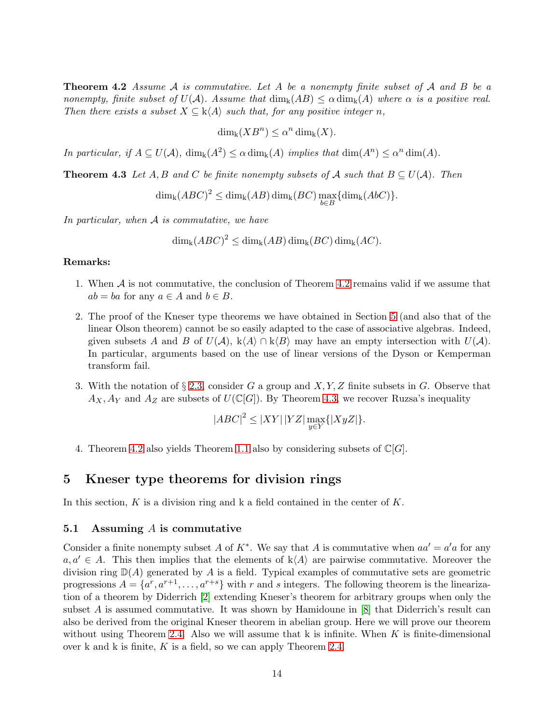Theorem 4.2 *Assume* A *is commutative. Let* A *be a nonempty finite subset of* A *and* B *be a nonempty, finite subset of*  $U(\mathcal{A})$ *. Assume that*  $\dim_k(AB) \leq \alpha \dim_k(A)$  where  $\alpha$  *is a positive real. Then there exists a subset*  $X \subseteq k\langle A \rangle$  *such that, for any positive integer n,* 

$$
\dim_{k}(XB^{n}) \leq \alpha^{n} \dim_{k}(X).
$$

<span id="page-13-1"></span>*In particular, if*  $A \subseteq U(\mathcal{A})$ ,  $\dim_k(A^2) \leq \alpha \dim_k(A)$  *implies that*  $\dim(A^n) \leq \alpha^n \dim(A)$ *.* 

**Theorem 4.3** Let A, B and C be finite nonempty subsets of A such that  $B \subseteq U(\mathcal{A})$ . Then

$$
\dim_{\mathbf{k}} (ABC)^2 \le \dim_{\mathbf{k}} (AB) \dim_{\mathbf{k}} (BC) \max_{b \in B} \{ \dim_{\mathbf{k}} (AbC) \}.
$$

*In particular, when* A *is commutative, we have*

$$
\dim_{\mathbf{k}} (ABC)^2 \le \dim_{\mathbf{k}} (AB) \dim_{\mathbf{k}} (BC) \dim_{\mathbf{k}} (AC).
$$

## Remarks:

- 1. When A is not commutative, the conclusion of Theorem [4.2](#page-12-1) remains valid if we assume that  $ab = ba$  for any  $a \in A$  and  $b \in B$ .
- 2. The proof of the Kneser type theorems we have obtained in Section [5](#page-13-0) (and also that of the linear Olson theorem) cannot be so easily adapted to the case of associative algebras. Indeed, given subsets A and B of  $U(\mathcal{A})$ ,  $k\langle A\rangle \cap k\langle B\rangle$  may have an empty intersection with  $U(\mathcal{A})$ . In particular, arguments based on the use of linear versions of the Dyson or Kemperman transform fail.
- 3. With the notation of  $\S 2.3$ , consider G a group and X, Y, Z finite subsets in G. Observe that  $A_X, A_Y$  and  $A_Z$  are subsets of  $U(\mathbb{C}[G])$ . By Theorem [4.3,](#page-13-1) we recover Ruzsa's inequality

$$
|ABC|^2 \le |XY| \, |YZ| \max_{y \in Y} \{ |XyZ| \}.
$$

4. Theorem [4.2](#page-12-1) also yields Theorem [1.1](#page-0-0) also by considering subsets of  $\mathbb{C}[G]$ .

# <span id="page-13-0"></span>5 Kneser type theorems for division rings

In this section,  $K$  is a division ring and k a field contained in the center of  $K$ .

## 5.1 Assuming A is commutative

<span id="page-13-2"></span>Consider a finite nonempty subset A of  $K^*$ . We say that A is commutative when  $aa' = a'a$  for any  $a, a' \in A$ . This then implies that the elements of  $k \langle A \rangle$  are pairwise commutative. Moreover the division ring  $\mathbb{D}(A)$  generated by A is a field. Typical examples of commutative sets are geometric progressions  $A = \{a^r, a^{r+1}, \ldots, a^{r+s}\}\$  with r and s integers. The following theorem is the linearization of a theorem by Diderrich [\[2\]](#page-20-0) extending Kneser's theorem for arbitrary groups when only the subset A is assumed commutative. It was shown by Hamidoune in  $[8]$  that Diderrich's result can also be derived from the original Kneser theorem in abelian group. Here we will prove our theorem without using Theorem [2.4.](#page-5-0) Also we will assume that  $k$  is infinite. When  $K$  is finite-dimensional over k and k is finite,  $K$  is a field, so we can apply Theorem [2.4.](#page-5-0)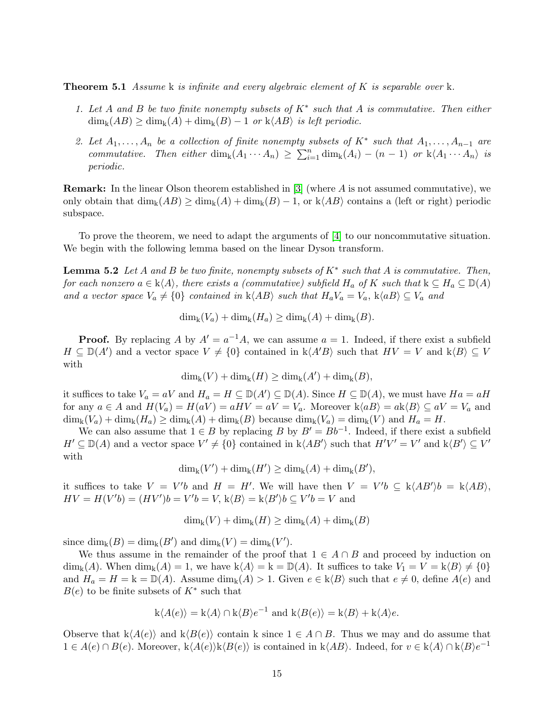Theorem 5.1 *Assume* k *is infinite and every algebraic element of* K *is separable over* k*.*

- *1. Let* A *and* B *be two finite nonempty subsets of* K<sup>∗</sup> *such that* A *is commutative. Then either*  $\dim_k(AB) \geq \dim_k(A) + \dim_k(B) - 1$  *or*  $k\langle AB \rangle$  *is left periodic.*
- 2. Let  $A_1, \ldots, A_n$  be a collection of finite nonempty subsets of  $K^*$  such that  $A_1, \ldots, A_{n-1}$  are *commutative.* Then either  $\dim_k(A_1 \cdots A_n) \geq \sum_{i=1}^n \dim_k(A_i) - (n-1)$  or  $k \langle A_1 \cdots A_n \rangle$  is *periodic.*

**Remark:** In the linear Olson theorem established in  $[3]$  (where A is not assumed commutative), we only obtain that  $\dim_k(AB) \geq \dim_k(A) + \dim_k(B) - 1$ , or  $k\langle AB \rangle$  contains a (left or right) periodic subspace.

<span id="page-14-0"></span>To prove the theorem, we need to adapt the arguments of [\[4\]](#page-20-1) to our noncommutative situation. We begin with the following lemma based on the linear Dyson transform.

Lemma 5.2 *Let* A *and* B *be two finite, nonempty subsets of* K<sup>∗</sup> *such that* A *is commutative. Then, for each nonzero*  $a \in k\langle A \rangle$ *, there exists a (commutative) subfield*  $H_a$  *of* K *such that*  $k \subseteq H_a \subseteq \mathbb{D}(A)$ *and a vector space*  $V_a \neq \{0\}$  *contained in* k $\langle AB \rangle$  *such that*  $H_a V_a = V_a$ , k $\langle aB \rangle \subseteq V_a$  *and* 

$$
\dim_{\mathbf{k}}(V_a) + \dim_{\mathbf{k}}(H_a) \ge \dim_{\mathbf{k}}(A) + \dim_{\mathbf{k}}(B).
$$

**Proof.** By replacing A by  $A' = a^{-1}A$ , we can assume  $a = 1$ . Indeed, if there exist a subfield  $H \subseteq \mathbb{D}(A')$  and a vector space  $V \neq \{0\}$  contained in  $k\langle A'B \rangle$  such that  $HV = V$  and  $k\langle B \rangle \subseteq V$ with

$$
\dim_{k}(V) + \dim_{k}(H) \geq \dim_{k}(A') + \dim_{k}(B),
$$

it suffices to take  $V_a = aV$  and  $H_a = H \subseteq \mathbb{D}(A') \subseteq \mathbb{D}(A)$ . Since  $H \subseteq \mathbb{D}(A)$ , we must have  $Ha = aH$ for any  $a \in A$  and  $H(V_a) = H(aV) = aHV = aV = V_a$ . Moreover  $k\langle aB \rangle = a\overline{k\langle B \rangle} \subseteq aV = V_a$  and  $\dim_k(V_a) + \dim_k(H_a) \ge \dim_k(A) + \dim_k(B)$  because  $\dim_k(V_a) = \dim_k(V)$  and  $H_a = H$ .

We can also assume that  $1 \in B$  by replacing B by  $B' = Bb^{-1}$ . Indeed, if there exist a subfield  $H' \subseteq \mathbb{D}(A)$  and a vector space  $V' \neq \{0\}$  contained in  $k\langle AB'\rangle$  such that  $H'V' = V'$  and  $k\langle B'\rangle \subseteq V'$ with

$$
\dim_{k}(V')+\dim_{k}(H')\geq \dim_{k}(A)+\dim_{k}(B'),
$$

it suffices to take  $V = V'b$  and  $H = H'$ . We will have then  $V = V'b \subseteq k\langle AB'\rangle b = k\langle AB\rangle$ ,  $HV = H(V'b) = (HV')b = V'b = V, \, \mathbf{k}\langle B \rangle = \mathbf{k}\langle B' \rangle b \subseteq V'b = V$  and

$$
\dim_{k}(V) + \dim_{k}(H) \geq \dim_{k}(A) + \dim_{k}(B)
$$

since  $\dim_k(B) = \dim_k(B')$  and  $\dim_k(V) = \dim_k(V')$ .

We thus assume in the remainder of the proof that  $1 \in A \cap B$  and proceed by induction on  $\dim_{\mathbf{k}}(A)$ . When  $\dim_{\mathbf{k}}(A) = 1$ , we have  $\mathbf{k}\langle A \rangle = \mathbf{k} = \mathbb{D}(A)$ . It suffices to take  $V_1 = V = \mathbf{k}\langle B \rangle \neq \{0\}$ and  $H_a = H = k = \mathbb{D}(A)$ . Assume  $\dim_k(A) > 1$ . Given  $e \in k\langle B \rangle$  such that  $e \neq 0$ , define  $A(e)$  and  $B(e)$  to be finite subsets of  $K^*$  such that

$$
k\langle A(e)\rangle = k\langle A\rangle \cap k\langle B\rangle e^{-1}
$$
 and  $k\langle B(e)\rangle = k\langle B\rangle + k\langle A\rangle e$ .

Observe that  $k\langle A(e)\rangle$  and  $k\langle B(e)\rangle$  contain k since  $1 \in A \cap B$ . Thus we may and do assume that  $1 \in A(e) \cap B(e)$ . Moreover, k $\langle A(e) \rangle k\langle B(e) \rangle$  is contained in k $\langle AB \rangle$ . Indeed, for  $v \in k\langle A \rangle \cap k\langle B \rangle e^{-1}$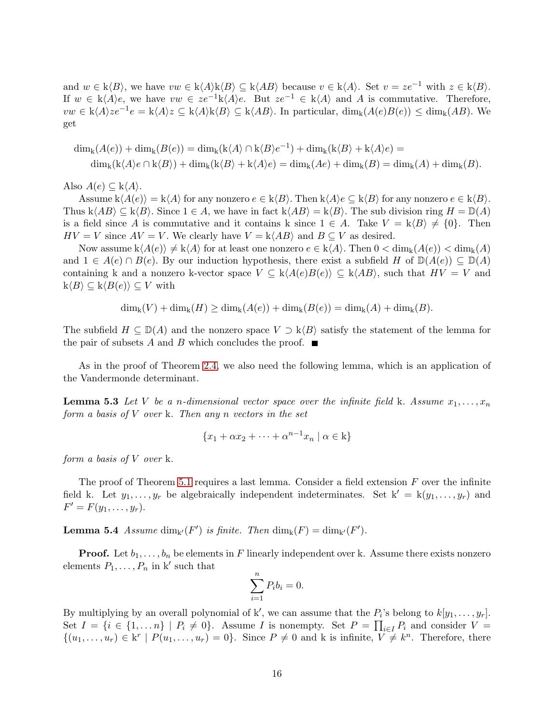and  $w \in k\langle B \rangle$ , we have  $vw \in k\langle A \rangle k\langle B \rangle \subseteq k\langle AB \rangle$  because  $v \in k\langle A \rangle$ . Set  $v = ze^{-1}$  with  $z \in k\langle B \rangle$ . If  $w \in k\langle A \rangle e$ , we have  $vw \in ze^{-1}k\langle A \rangle e$ . But  $ze^{-1} \in k\langle A \rangle$  and A is commutative. Therefore,  $vw \in k\langle A \rangle ze^{-1}e = k\langle A \rangle z \subseteq k\langle A \rangle k\langle B \rangle \subseteq k\langle AB \rangle$ . In particular,  $\dim_k(A(e)B(e)) \leq \dim_k(AB)$ . We get

$$
\dim_{k}(A(e)) + \dim_{k}(B(e)) = \dim_{k}(k\langle A\rangle \cap k\langle B\rangle e^{-1}) + \dim_{k}(k\langle B\rangle + k\langle A\rangle e) =
$$
  

$$
\dim_{k}(k\langle A\rangle e \cap k\langle B\rangle) + \dim_{k}(k\langle B\rangle + k\langle A\rangle e) = \dim_{k}(Ae) + \dim_{k}(B) = \dim_{k}(A) + \dim_{k}(B).
$$

Also  $A(e) \subseteq k\langle A \rangle$ .

Assume  $k\langle A(e)\rangle = k\langle A\rangle$  for any nonzero  $e \in k\langle B\rangle$ . Then  $k\langle A\rangle e \subseteq k\langle B\rangle$  for any nonzero  $e \in k\langle B\rangle$ . Thus  $k\langle AB \rangle \subseteq k\langle B \rangle$ . Since  $1 \in A$ , we have in fact  $k\langle AB \rangle = k\langle B \rangle$ . The sub division ring  $H = \mathbb{D}(A)$ is a field since A is commutative and it contains k since  $1 \in A$ . Take  $V = k\langle B \rangle \neq \{0\}$ . Then  $HV = V$  since  $AV = V$ . We clearly have  $V = k\langle AB \rangle$  and  $B \subseteq V$  as desired.

Now assume  $k\langle A(e)\rangle \neq k\langle A\rangle$  for at least one nonzero  $e \in k\langle A\rangle$ . Then  $0 < \dim_k(A(e)) < \dim_k(A)$ and  $1 \in A(e) \cap B(e)$ . By our induction hypothesis, there exist a subfield H of  $\mathbb{D}(A(e)) \subseteq \mathbb{D}(A)$ containing k and a nonzero k-vector space  $V \subseteq k\langle A(e)B(e) \rangle \subseteq k\langle AB \rangle$ , such that  $HV = V$  and  $\mathbf{k}\langle B\rangle \subseteq \mathbf{k}\langle B(e)\rangle \subseteq V$  with

$$
\dim_{k}(V) + \dim_{k}(H) \geq \dim_{k}(A(e)) + \dim_{k}(B(e)) = \dim_{k}(A) + \dim_{k}(B).
$$

The subfield  $H \subseteq \mathbb{D}(A)$  and the nonzero space  $V \supset k\langle B \rangle$  satisfy the statement of the lemma for the pair of subsets A and B which concludes the proof.  $\blacksquare$ 

<span id="page-15-1"></span>As in the proof of Theorem [2.4,](#page-5-0) we also need the following lemma, which is an application of the Vandermonde determinant.

**Lemma 5.3** Let V be a n-dimensional vector space over the infinite field k. Assume  $x_1, \ldots, x_n$ *form a basis of* V *over* k*. Then any* n *vectors in the set*

$$
\{x_1 + \alpha x_2 + \dots + \alpha^{n-1} x_n \mid \alpha \in \mathbf{k}\}
$$

*form a basis of* V *over* k*.*

The proof of Theorem [5.1](#page-13-2) requires a last lemma. Consider a field extension  $F$  over the infinite field k. Let  $y_1, \ldots, y_r$  be algebraically independent indeterminates. Set  $k' = k(y_1, \ldots, y_r)$  and  $F' = F(y_1, \ldots, y_r).$ 

<span id="page-15-0"></span>**Lemma 5.4** *Assume* dim<sub>k</sub> $(F')$  *is finite. Then* dim<sub>k</sub> $(F) = \dim_{k'}(F')$ *.* 

**Proof.** Let  $b_1, \ldots, b_n$  be elements in F linearly independent over k. Assume there exists nonzero elements  $P_1, \ldots, P_n$  in k' such that

$$
\sum_{i=1}^{n} P_i b_i = 0.
$$

By multiplying by an overall polynomial of k', we can assume that the  $P_i$ 's belong to  $k[y_1, \ldots, y_r]$ . Set  $I = \{i \in \{1, ..., n\} \mid P_i \neq 0\}$ . Assume I is nonempty. Set  $P = \prod_{i \in I} P_i$  and consider  $V =$  $\{(u_1,\ldots,u_r)\in\mathbf{k}^r\mid P(u_1,\ldots,u_r)=0\}$ . Since  $P\neq 0$  and k is infinite,  $V\neq k^n$ . Therefore, there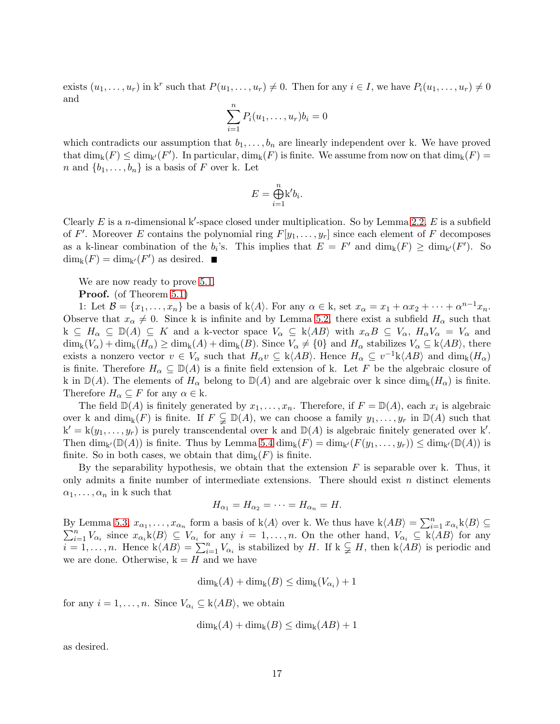exists  $(u_1, \ldots, u_r)$  in  $k^r$  such that  $P(u_1, \ldots, u_r) \neq 0$ . Then for any  $i \in I$ , we have  $P_i(u_1, \ldots, u_r) \neq 0$ and

$$
\sum_{i=1}^n P_i(u_1,\ldots,u_r)b_i=0
$$

which contradicts our assumption that  $b_1, \ldots, b_n$  are linearly independent over k. We have proved that  $\dim_k(F) \le \dim_{k'}(F')$ . In particular,  $\dim_k(F)$  is finite. We assume from now on that  $\dim_k(F)$  = n and  $\{b_1, \ldots, b_n\}$  is a basis of F over k. Let

$$
E = \bigoplus_{i=1}^{n} \mathbf{k}' b_i.
$$

Clearly  $E$  is a *n*-dimensional k'-space closed under multiplication. So by Lemma [2.2,](#page-3-1)  $E$  is a subfield of F'. Moreover E contains the polynomial ring  $F[y_1, \ldots, y_r]$  since each element of F decomposes as a k-linear combination of the  $b_i$ 's. This implies that  $E = F'$  and  $\dim_k(F) \ge \dim_{k'}(F')$ . So  $\dim_{\mathbf{k}}(F) = \dim_{\mathbf{k'}}(F')$  as desired.

We are now ready to prove [5.1.](#page-13-2)

Proof. (of Theorem [5.1\)](#page-13-2)

1: Let  $\mathcal{B} = \{x_1, \ldots, x_n\}$  be a basis of k $\langle A \rangle$ . For any  $\alpha \in \mathbf{k}$ , set  $x_\alpha = x_1 + \alpha x_2 + \cdots + \alpha^{n-1} x_n$ . Observe that  $x_{\alpha} \neq 0$ . Since k is infinite and by Lemma [5.2,](#page-14-0) there exist a subfield  $H_{\alpha}$  such that  $k \subseteq H_\alpha \subseteq \mathbb{D}(A) \subseteq K$  and a k-vector space  $V_\alpha \subseteq k\langle AB \rangle$  with  $x_\alpha B \subseteq V_\alpha$ ,  $H_\alpha V_\alpha = V_\alpha$  and  $\dim_k(V_\alpha) + \dim_k(H_\alpha) \ge \dim_k(A) + \dim_k(B)$ . Since  $V_\alpha \ne \{0\}$  and  $H_\alpha$  stabilizes  $V_\alpha \subseteq k\langle AB \rangle$ , there exists a nonzero vector  $v \in V_\alpha$  such that  $H_\alpha v \subseteq k\langle AB \rangle$ . Hence  $H_\alpha \subseteq v^{-1}k\langle AB \rangle$  and  $\dim_k(H_\alpha)$ is finite. Therefore  $H_{\alpha} \subseteq \mathbb{D}(A)$  is a finite field extension of k. Let F be the algebraic closure of k in  $\mathbb{D}(A)$ . The elements of  $H_{\alpha}$  belong to  $\mathbb{D}(A)$  and are algebraic over k since  $\dim_{k}(H_{\alpha})$  is finite. Therefore  $H_{\alpha} \subseteq F$  for any  $\alpha \in \mathbf{k}$ .

The field  $\mathbb{D}(A)$  is finitely generated by  $x_1, \ldots, x_n$ . Therefore, if  $F = \mathbb{D}(A)$ , each  $x_i$  is algebraic over k and  $\dim_k(F)$  is finite. If  $F \subsetneq \mathbb{D}(A)$ , we can choose a family  $y_1, \ldots, y_r$  in  $\mathbb{D}(A)$  such that  $k' = k(y_1, \ldots, y_r)$  is purely transcendental over k and  $\mathbb{D}(A)$  is algebraic finitely generated over k'. Then  $\dim_{k'}(\mathbb{D}(A))$  is finite. Thus by Lemma [5.4](#page-15-0)  $\dim_k(F) = \dim_{k'}(F(y_1,\ldots,y_r)) \leq \dim_{k'}(\mathbb{D}(A))$  is finite. So in both cases, we obtain that  $\dim_k(F)$  is finite.

By the separability hypothesis, we obtain that the extension  $F$  is separable over k. Thus, it only admits a finite number of intermediate extensions. There should exist  $n$  distinct elements  $\alpha_1, \ldots, \alpha_n$  in k such that

$$
H_{\alpha_1}=H_{\alpha_2}=\cdots=H_{\alpha_n}=H.
$$

By Lemma [5.3,](#page-15-1)  $x_{\alpha_1}, \ldots, x_{\alpha_n}$  form a basis of  $k\langle A \rangle$  over k. We thus have  $k\langle AB \rangle = \sum_{i=1}^n x_{\alpha_i} k\langle B \rangle \subseteq$ By Lemma 5.3,  $x_{\alpha_1}, \ldots, x_{\alpha_n}$  form a basis of  $k\langle A \rangle$  over k. We thus have  $k\langle AB \rangle = \sum_{i=1}^n x_{\alpha_i} k\langle B \rangle \subseteq \sum_{i=1}^n V_{\alpha_i}$  since  $x_{\alpha_i} k\langle B \rangle \subseteq V_{\alpha_i}$  for any  $i = 1, \ldots, n$ . On the other hand,  $V_{\alpha_i} \subseteq k\langle AB \rangle$  for an  $i = 1, \ldots, n$ . Hence  $k\langle AB \rangle = \sum_{i=1}^n V_{\alpha_i}$  is stabilized by H. If  $k \subsetneq H$ , then  $k\langle AB \rangle$  is periodic and we are done. Otherwise,  $k = H$  and we have

 $\dim_{\mathbf{k}}(A) + \dim_{\mathbf{k}}(B) \leq \dim_{\mathbf{k}}(V_{\alpha_i}) + 1$ 

for any  $i = 1, \ldots, n$ . Since  $V_{\alpha_i} \subseteq k\langle AB \rangle$ , we obtain

$$
\dim_{k}(A) + \dim_{k}(B) \leq \dim_{k}(AB) + 1
$$

as desired.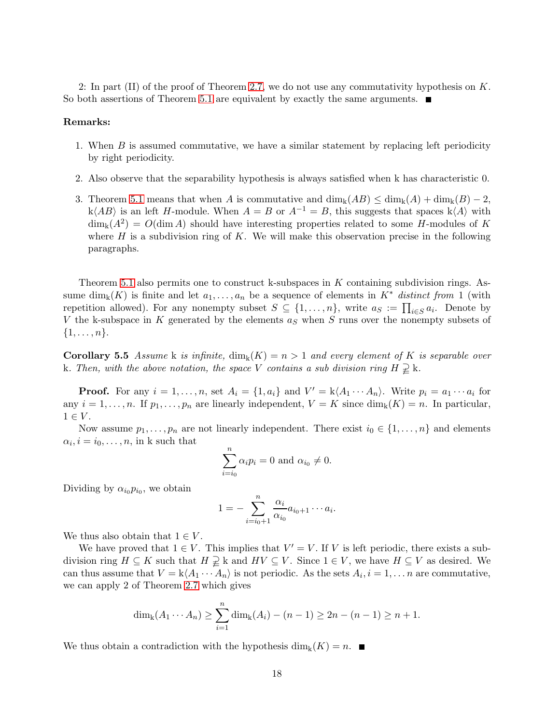2: In part (II) of the proof of Theorem [2.7,](#page-6-3) we do not use any commutativity hypothesis on  $K$ . So both assertions of Theorem [5.1](#page-13-2) are equivalent by exactly the same arguments.  $\blacksquare$ 

#### Remarks:

- 1. When B is assumed commutative, we have a similar statement by replacing left periodicity by right periodicity.
- 2. Also observe that the separability hypothesis is always satisfied when k has characteristic 0.
- 3. Theorem [5.1](#page-13-2) means that when A is commutative and  $\dim_k(AB) \leq \dim_k(A) + \dim_k(B) 2$ , k $\langle AB \rangle$  is an left H-module. When  $A = B$  or  $A^{-1} = B$ , this suggests that spaces k $\langle A \rangle$  with  $\dim_{\mathbf{k}}(A^2) = O(\dim A)$  should have interesting properties related to some H-modules of K where  $H$  is a subdivision ring of  $K$ . We will make this observation precise in the following paragraphs.

Theorem [5.1](#page-13-2) also permits one to construct k-subspaces in  $K$  containing subdivision rings. Assume dim<sub>k</sub> $(K)$  is finite and let  $a_1, \ldots, a_n$  be a sequence of elements in  $K^*$  *distinct from* 1 (with repetition allowed). For any nonempty subset  $S \subseteq \{1, \ldots, n\}$ , write  $a_S := \prod_{i \in S} a_i$ . Denote by V the k-subspace in K generated by the elements  $a<sub>S</sub>$  when S runs over the nonempty subsets of  $\{1,\ldots,n\}.$ 

**Corollary 5.5** Assume k is infinite,  $\dim_k(K) = n > 1$  and every element of K is separable over k. Then, with the above notation, the space V contains a sub division ring  $H \supsetneq k$ .

**Proof.** For any  $i = 1, ..., n$ , set  $A_i = \{1, a_i\}$  and  $V' = k \langle A_1 \cdots A_n \rangle$ . Write  $p_i = a_1 \cdots a_i$  for any  $i = 1, \ldots, n$ . If  $p_1, \ldots, p_n$  are linearly independent,  $V = K$  since  $\dim_k(K) = n$ . In particular,  $1 \in V$ .

Now assume  $p_1, \ldots, p_n$  are not linearly independent. There exist  $i_0 \in \{1, \ldots, n\}$  and elements  $\alpha_i, i = i_0, \ldots, n$ , in k such that

$$
\sum_{i=i_0}^{n} \alpha_i p_i = 0 \text{ and } \alpha_{i_0} \neq 0.
$$

Dividing by  $\alpha_{i_0} p_{i_0}$ , we obtain

$$
1=-\sum_{i=i_0+1}^n \frac{\alpha_i}{\alpha_{i_0}} a_{i_0+1} \cdots a_i.
$$

We thus also obtain that  $1 \in V$ .

We have proved that  $1 \in V$ . This implies that  $V' = V$ . If V is left periodic, there exists a subdivision ring  $H \subseteq K$  such that  $H \supsetneq k$  and  $HV \subseteq V$ . Since  $1 \in V$ , we have  $H \subseteq V$  as desired. We can thus assume that  $V = k \langle A_1 \cdots A_n \rangle$  is not periodic. As the sets  $A_i, i = 1, \ldots n$  are commutative, we can apply 2 of Theorem [2.7](#page-6-3) which gives

$$
\dim_{k}(A_{1}\cdots A_{n}) \geq \sum_{i=1}^{n} \dim_{k}(A_{i}) - (n-1) \geq 2n - (n-1) \geq n+1.
$$

We thus obtain a contradiction with the hypothesis  $\dim_k(K) = n$ .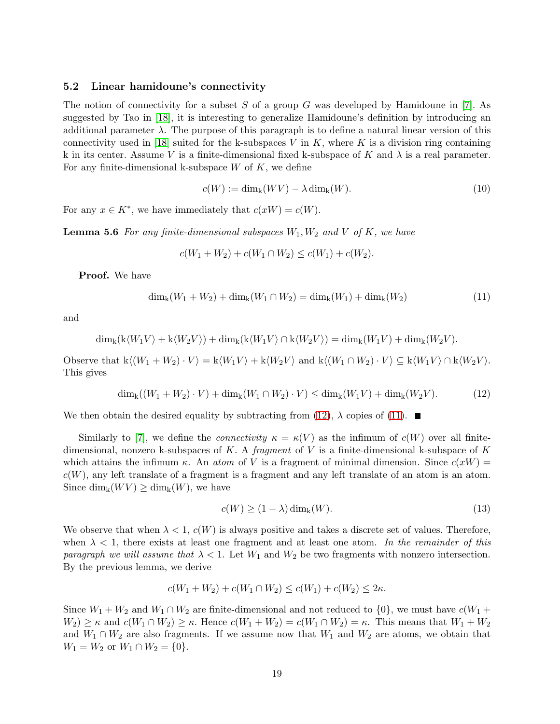#### 5.2 Linear hamidoune's connectivity

The notion of connectivity for a subset S of a group G was developed by Hamidoune in  $[7]$ . As suggested by Tao in [\[18\]](#page-21-8), it is interesting to generalize Hamidoune's definition by introducing an additional parameter  $\lambda$ . The purpose of this paragraph is to define a natural linear version of this connectivity used in [\[18\]](#page-21-8) suited for the k-subspaces V in K, where K is a division ring containing k in its center. Assume V is a finite-dimensional fixed k-subspace of K and  $\lambda$  is a real parameter. For any finite-dimensional k-subspace  $W$  of  $K$ , we define

$$
c(W) := \dim_{k}(WV) - \lambda \dim_{k}(W). \tag{10}
$$

For any  $x \in K^*$ , we have immediately that  $c(xW) = c(W)$ .

**Lemma 5.6** For any finite-dimensional subspaces  $W_1, W_2$  and V of K, we have

$$
c(W_1 + W_2) + c(W_1 \cap W_2) \le c(W_1) + c(W_2).
$$

Proof. We have

<span id="page-18-1"></span>
$$
\dim_{k}(W_{1} + W_{2}) + \dim_{k}(W_{1} \cap W_{2}) = \dim_{k}(W_{1}) + \dim_{k}(W_{2})
$$
\n(11)

and

$$
\dim_{k}(k\langle W_{1}V\rangle + k\langle W_{2}V\rangle) + \dim_{k}(k\langle W_{1}V\rangle \cap k\langle W_{2}V\rangle) = \dim_{k}(W_{1}V) + \dim_{k}(W_{2}V).
$$

Observe that  $k\langle (W_1 + W_2) \cdot V \rangle = k\langle W_1 V \rangle + k\langle W_2 V \rangle$  and  $k\langle (W_1 \cap W_2) \cdot V \rangle \subseteq k\langle W_1 V \rangle \cap k\langle W_2 V \rangle$ . This gives

<span id="page-18-0"></span>
$$
\dim_{k}((W_{1}+W_{2})\cdot V)+\dim_{k}(W_{1}\cap W_{2})\cdot V)\leq \dim_{k}(W_{1}V)+\dim_{k}(W_{2}V). \tag{12}
$$

We then obtain the desired equality by subtracting from [\(12\)](#page-18-0),  $\lambda$  copies of [\(11\)](#page-18-1).

Similarly to [\[7\]](#page-21-10), we define the *connectivity*  $\kappa = \kappa(V)$  as the infimum of  $c(W)$  over all finitedimensional, nonzero k-subspaces of K. A *fragment* of V is a finite-dimensional k-subspace of K which attains the infimum  $\kappa$ . An *atom* of V is a fragment of minimal dimension. Since  $c(xW)$  =  $c(W)$ , any left translate of a fragment is a fragment and any left translate of an atom is an atom. Since  $\dim_k(WV) \geq \dim_k(W)$ , we have

<span id="page-18-2"></span>
$$
c(W) \ge (1 - \lambda) \dim_{k}(W). \tag{13}
$$

We observe that when  $\lambda < 1$ ,  $c(W)$  is always positive and takes a discrete set of values. Therefore, when  $\lambda < 1$ , there exists at least one fragment and at least one atom. In the remainder of this *paragraph we will assume that*  $\lambda < 1$ . Let  $W_1$  and  $W_2$  be two fragments with nonzero intersection. By the previous lemma, we derive

$$
c(W_1 + W_2) + c(W_1 \cap W_2) \le c(W_1) + c(W_2) \le 2\kappa.
$$

<span id="page-18-3"></span>Since  $W_1 + W_2$  and  $W_1 \cap W_2$  are finite-dimensional and not reduced to  $\{0\}$ , we must have  $c(W_1 +$  $W_2) \geq \kappa$  and  $c(W_1 \cap W_2) \geq \kappa$ . Hence  $c(W_1 + W_2) = c(W_1 \cap W_2) = \kappa$ . This means that  $W_1 + W_2$ and  $W_1 \cap W_2$  are also fragments. If we assume now that  $W_1$  and  $W_2$  are atoms, we obtain that  $W_1 = W_2$  or  $W_1 \cap W_2 = \{0\}.$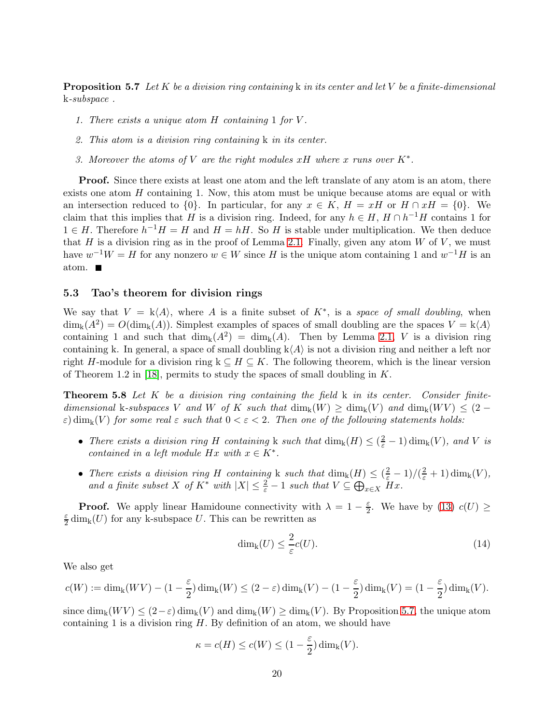Proposition 5.7 *Let* K *be a division ring containing* k *in its center and let* V *be a finite-dimensional* k*-subspace .*

- *1. There exists a unique atom* H *containing* 1 *for* V *.*
- *2. This atom is a division ring containing* k *in its center.*
- *3. Moreover the atoms of* V *are the right modules* xH *where* x *runs over* K<sup>∗</sup> *.*

Proof. Since there exists at least one atom and the left translate of any atom is an atom, there exists one atom  $H$  containing 1. Now, this atom must be unique because atoms are equal or with an intersection reduced to  $\{0\}$ . In particular, for any  $x \in K$ ,  $H = xH$  or  $H \cap xH = \{0\}$ . We claim that this implies that H is a division ring. Indeed, for any  $h \in H$ ,  $H \cap h^{-1}H$  contains 1 for  $1 \in H$ . Therefore  $h^{-1}H = H$  and  $H = hH$ . So H is stable under multiplication. We then deduce that H is a division ring as in the proof of Lemma [2.1.](#page-3-2) Finally, given any atom  $W$  of  $V$ , we must have  $w^{-1}W = H$  for any nonzero  $w \in W$  since H is the unique atom containing 1 and  $w^{-1}H$  is an atom.

## <span id="page-19-0"></span>5.3 Tao's theorem for division rings

We say that  $V = k\langle A \rangle$ , where A is a finite subset of  $K^*$ , is a *space of small doubling*, when  $\dim_{k}(A^{2}) = O(\dim_{k}(A)).$  Simplest examples of spaces of small doubling are the spaces  $V = k\langle A \rangle$ containing 1 and such that  $\dim_k(A^2) = \dim_k(A)$ . Then by Lemma [2.1,](#page-3-2) V is a division ring containing k. In general, a space of small doubling  $k\langle A \rangle$  is not a division ring and neither a left nor right H-module for a division ring  $k \subseteq H \subseteq K$ . The following theorem, which is the linear version of Theorem 1.2 in [\[18\]](#page-21-8), permits to study the spaces of small doubling in  $K$ .

<span id="page-19-2"></span>Theorem 5.8 *Let* K *be a division ring containing the field* k *in its center. Consider finitedimensional* k-subspaces V and W of K such that  $\dim_k(W) \geq \dim_k(V)$  and  $\dim_k(WV) \leq (2 \varepsilon$ )  $\dim_k(V)$  *for some real*  $\varepsilon$  *such that*  $0 < \varepsilon < 2$ *. Then one of the following statements holds:* 

- *There exists a division ring* H *containing* k such that  $\dim_k(H) \leq (\frac{2}{\varepsilon} 1) \dim_k(V)$ *, and* V *is contained in a left module*  $Hx$  *with*  $x \in K^*$ .
- *There exists a division ring* H *containing* k *such that*  $\dim_k(H) \leq (\frac{2}{\varepsilon} 1)/(\frac{2}{\varepsilon} + 1) \dim_k(V)$ , and a finite subset X of  $K^*$  with  $|X| \leq \frac{2}{\varepsilon} - 1$  such that  $V \subseteq \bigoplus_{x \in X} Hx$ .

**Proof.** We apply linear Hamidoune connectivity with  $\lambda = 1 - \frac{\varepsilon}{2}$  $\frac{\varepsilon}{2}$ . We have by [\(13\)](#page-18-2)  $c(U) \ge$ ε  $\frac{\varepsilon}{2}$  dim<sub>k</sub>(U) for any k-subspace U. This can be rewritten as

<span id="page-19-1"></span>
$$
\dim_{k}(U) \leq \frac{2}{\varepsilon}c(U). \tag{14}
$$

We also get

$$
c(W):=\dim_{\mathbf{k}}(WV)-(1-\frac{\varepsilon}{2})\dim_{\mathbf{k}}(W)\leq (2-\varepsilon)\dim_{\mathbf{k}}(V)-(1-\frac{\varepsilon}{2})\dim_{\mathbf{k}}(V)=(1-\frac{\varepsilon}{2})\dim_{\mathbf{k}}(V).
$$

since  $\dim_k(WV) \leq (2-\varepsilon) \dim_k(V)$  and  $\dim_k(W) \geq \dim_k(V)$ . By Proposition [5.7,](#page-18-3) the unique atom containing 1 is a division ring  $H$ . By definition of an atom, we should have

$$
\kappa = c(H) \le c(W) \le (1 - \frac{\varepsilon}{2}) \dim_{\mathbf{k}}(V).
$$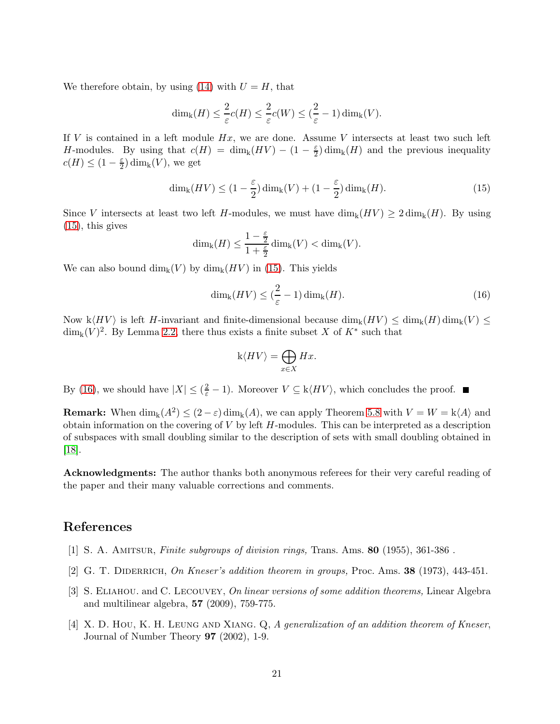We therefore obtain, by using [\(14\)](#page-19-1) with  $U = H$ , that

$$
\dim_{\mathbf{k}}(H) \leq \frac{2}{\varepsilon}c(H) \leq \frac{2}{\varepsilon}c(W) \leq (\frac{2}{\varepsilon} - 1)\dim_{\mathbf{k}}(V).
$$

If  $V$  is contained in a left module  $Hx$ , we are done. Assume  $V$  intersects at least two such left H-modules. By using that  $c(H) = \dim_k(HV) - (1 - \frac{\varepsilon}{2})$  $\frac{\varepsilon}{2}$ ) dim<sub>k</sub>(*H*) and the previous inequality  $c(H) \leq (1 - \frac{\varepsilon}{2})$  $\frac{\varepsilon}{2}$ ) dim<sub>k</sub> $(V)$ , we get

<span id="page-20-4"></span>
$$
\dim_{k}(HV) \leq (1 - \frac{\varepsilon}{2})\dim_{k}(V) + (1 - \frac{\varepsilon}{2})\dim_{k}(H). \tag{15}
$$

Since V intersects at least two left H-modules, we must have  $\dim_k(HV) \geq 2 \dim_k(H)$ . By using  $(15)$ , this gives

$$
\dim_{k}(H) \leq \frac{1-\frac{\varepsilon}{2}}{1+\frac{\varepsilon}{2}} \dim_{k}(V) < \dim_{k}(V).
$$

We can also bound  $\dim_k(V)$  by  $\dim_k(HV)$  in [\(15\)](#page-20-4). This yields

<span id="page-20-5"></span>
$$
\dim_{k}(HV) \leq (\frac{2}{\varepsilon} - 1)\dim_{k}(H). \tag{16}
$$

Now  $k\langle HV \rangle$  is left H-invariant and finite-dimensional because  $\dim_k(HV) \leq \dim_k(H)\dim_k(V) \leq$  $\dim_{\mathbf{k}}(V)^2$ . By Lemma [2.2,](#page-3-1) there thus exists a finite subset X of  $K^*$  such that

$$
\mathbf{k}\langle HV\rangle = \bigoplus_{x\in X} Hx.
$$

By [\(16\)](#page-20-5), we should have  $|X| \leq (\frac{2}{\varepsilon} - 1)$ . Moreover  $V \subseteq k\langle HV \rangle$ , which concludes the proof.

**Remark:** When  $\dim_k(A^2) \leq (2 - \varepsilon) \dim_k(A)$ , we can apply Theorem [5.8](#page-19-2) with  $V = W = k \langle A \rangle$  and obtain information on the covering of  $V$  by left  $H$ -modules. This can be interpreted as a description of subspaces with small doubling similar to the description of sets with small doubling obtained in [\[18\]](#page-21-8).

Acknowledgments: The author thanks both anonymous referees for their very careful reading of the paper and their many valuable corrections and comments.

# <span id="page-20-3"></span>References

- <span id="page-20-0"></span>[1] S. A. Amitsur, *Finite subgroups of division rings,* Trans. Ams. 80 (1955), 361-386 .
- <span id="page-20-2"></span>[2] G. T. Diderrich, *On Kneser's addition theorem in groups,* Proc. Ams. 38 (1973), 443-451.
- [3] S. Eliahou. and C. Lecouvey, *On linear versions of some addition theorems,* Linear Algebra and multilinear algebra, 57 (2009), 759-775.
- <span id="page-20-1"></span>[4] X. D. Hou, K. H. LEUNG AND XIANG. Q, A generalization of an addition theorem of Kneser, Journal of Number Theory 97 (2002), 1-9.